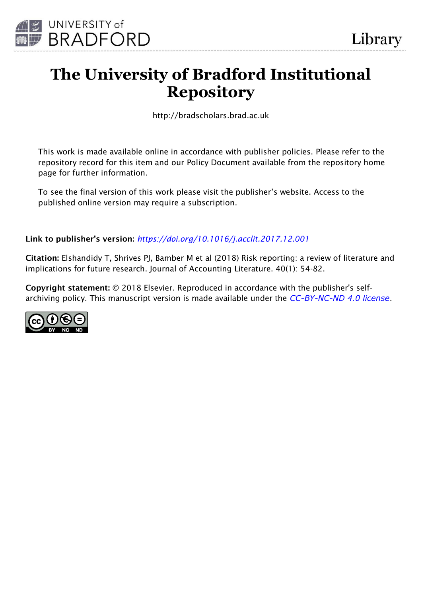

# **The University of Bradford Institutional Repository**

http://bradscholars.brad.ac.uk

This work is made available online in accordance with publisher policies. Please refer to the repository record for this item and our Policy Document available from the repository home page for further information.

To see the final version of this work please visit the publisher's website. Access to the published online version may require a subscription.

**Link to publisher's version:** *<https://doi.org/10.1016/j.acclit.2017.12.001>*

**Citation:** Elshandidy T, Shrives PJ, Bamber M et al (2018) Risk reporting: a review of literature and implications for future research. Journal of Accounting Literature. 40(1): 54-82.

**Copyright statement:** © 2018 Elsevier. Reproduced in accordance with the publisher's selfarchiving policy. This manuscript version is made available under the *[CC-BY-NC-ND 4.0 license](http://creativecommons.org/licenses/by-nc-nd/4.0/)*.

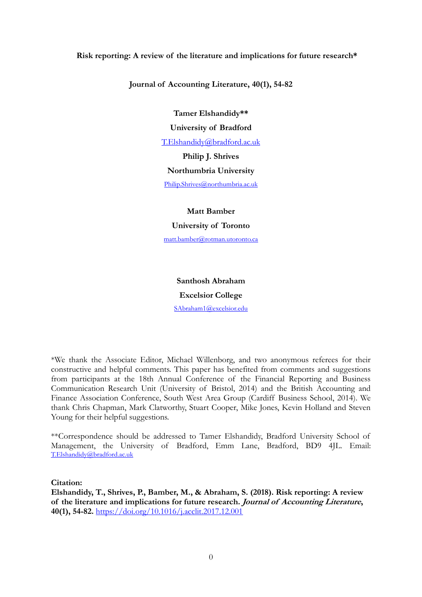# **Risk reporting: A review of the literature and implications for future research\***

**Journal of Accounting Literature, 40(1), 54-82**

**Tamer Elshandidy\*\* University of Bradford**  T.Elshandidy@bradford.ac.uk **Philip J. Shrives Northumbria University** 

[Philip.Shrives@northumbria.ac.uk](mailto:Philip.Shrives@northumbria.ac.uk)

**Matt Bamber** 

 **University of Toronto** 

[matt.bamber@rotman.utoronto.ca](mailto:matt.bamber@rotman.utoronto.ca)

**Santhosh Abraham Excelsior College**  [SAbraham1@excelsior.edu](mailto:SAbraham1@excelsior.edu)

\*We thank the Associate Editor, Michael Willenborg, and two anonymous referees for their constructive and helpful comments. This paper has benefited from comments and suggestions from participants at the 18th Annual Conference of the Financial Reporting and Business Communication Research Unit (University of Bristol, 2014) and the British Accounting and Finance Association Conference, South West Area Group (Cardiff Business School, 2014). We thank Chris Chapman, Mark Clatworthy, Stuart Cooper, Mike Jones, Kevin Holland and Steven Young for their helpful suggestions.

\*\*Correspondence should be addressed to Tamer Elshandidy, Bradford University School of Management, the University of Bradford, Emm Lane, Bradford, BD9 4JL. Email: [T.Elshandidy@bradford.ac.uk](mailto:T.Elshandidy@bradford.ac.uk)

**Citation:** 

**Elshandidy, T., Shrives, P., Bamber, M., & Abraham, S. (2018). Risk reporting: A review of the literature and implications for future research. Journal of Accounting Literature, 40(1), 54-82.** <https://doi.org/10.1016/j.acclit.2017.12.001>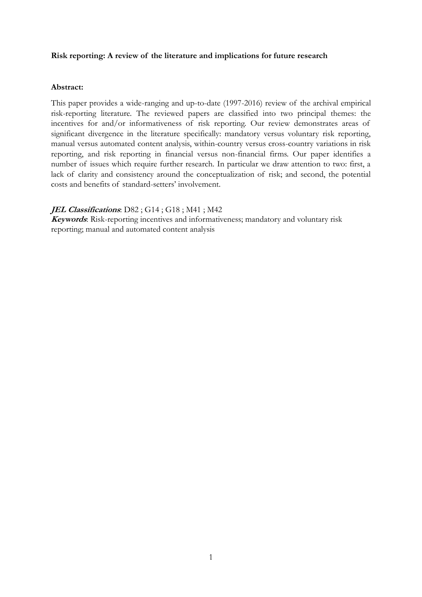# **Risk reporting: A review of the literature and implications for future research**

# **Abstract:**

This paper provides a wide-ranging and up-to-date (1997-2016) review of the archival empirical risk-reporting literature. The reviewed papers are classified into two principal themes: the incentives for and/or informativeness of risk reporting. Our review demonstrates areas of significant divergence in the literature specifically: mandatory versus voluntary risk reporting, manual versus automated content analysis, within-country versus cross-country variations in risk reporting, and risk reporting in financial versus non-financial firms. Our paper identifies a number of issues which require further research. In particular we draw attention to two: first, a lack of clarity and consistency around the conceptualization of risk; and second, the potential costs and benefits of standard-setters' involvement.

# **JEL Classifications**: D82 ; G14 ; G18 ; M41 ; M42

**Keywords**: Risk-reporting incentives and informativeness; mandatory and voluntary risk reporting; manual and automated content analysis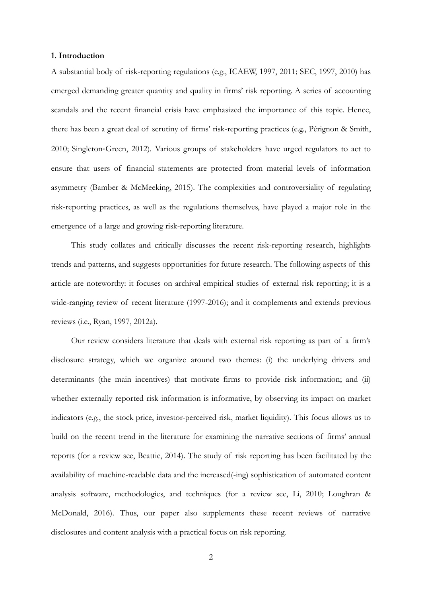#### **1. Introduction**

A substantial body of risk-reporting regulations (e.g., ICAEW, 1997, 2011; SEC, 1997, 2010) has emerged demanding greater quantity and quality in firms' risk reporting. A series of accounting scandals and the recent financial crisis have emphasized the importance of this topic. Hence, there has been a great deal of scrutiny of firms' risk-reporting practices (e.g., Pérignon & Smith, 2010; Singleton‐Green, 2012). Various groups of stakeholders have urged regulators to act to ensure that users of financial statements are protected from material levels of information asymmetry (Bamber & McMeeking, 2015). The complexities and controversiality of regulating risk-reporting practices, as well as the regulations themselves, have played a major role in the emergence of a large and growing risk-reporting literature.

This study collates and critically discusses the recent risk-reporting research, highlights trends and patterns, and suggests opportunities for future research. The following aspects of this article are noteworthy: it focuses on archival empirical studies of external risk reporting; it is a wide-ranging review of recent literature (1997-2016); and it complements and extends previous reviews (i.e., Ryan, 1997, 2012a).

Our review considers literature that deals with external risk reporting as part of a firm's disclosure strategy, which we organize around two themes: (i) the underlying drivers and determinants (the main incentives) that motivate firms to provide risk information; and (ii) whether externally reported risk information is informative, by observing its impact on market indicators (e.g., the stock price, investor-perceived risk, market liquidity). This focus allows us to build on the recent trend in the literature for examining the narrative sections of firms' annual reports (for a review see, Beattie, 2014). The study of risk reporting has been facilitated by the availability of machine-readable data and the increased(-ing) sophistication of automated content analysis software, methodologies, and techniques (for a review see, Li, 2010; Loughran & McDonald, 2016). Thus, our paper also supplements these recent reviews of narrative disclosures and content analysis with a practical focus on risk reporting.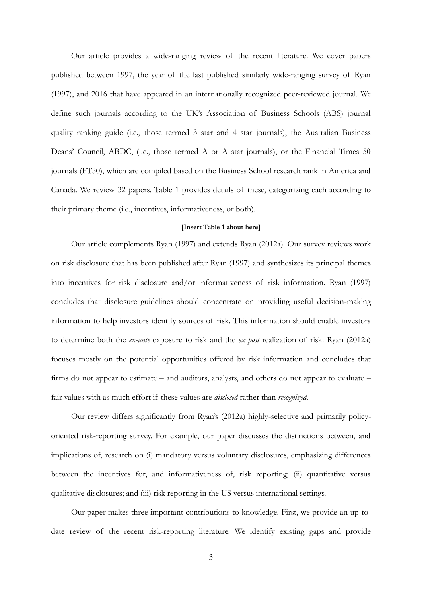Our article provides a wide-ranging review of the recent literature. We cover papers published between 1997, the year of the last published similarly wide-ranging survey of Ryan (1997), and 2016 that have appeared in an internationally recognized peer-reviewed journal. We define such journals according to the UK's Association of Business Schools (ABS) journal quality ranking guide (i.e., those termed 3 star and 4 star journals), the Australian Business Deans' Council, ABDC, (i.e., those termed A or A star journals), or the Financial Times 50 journals (FT50), which are compiled based on the Business School research rank in America and Canada. We review 32 papers. Table 1 provides details of these, categorizing each according to their primary theme (i.e., incentives, informativeness, or both).

#### **[Insert Table 1 about here]**

Our article complements Ryan (1997) and extends Ryan (2012a). Our survey reviews work on risk disclosure that has been published after Ryan (1997) and synthesizes its principal themes into incentives for risk disclosure and/or informativeness of risk information. Ryan (1997) concludes that disclosure guidelines should concentrate on providing useful decision-making information to help investors identify sources of risk. This information should enable investors to determine both the *ex-ante* exposure to risk and the *ex post* realization of risk. Ryan (2012a) focuses mostly on the potential opportunities offered by risk information and concludes that firms do not appear to estimate – and auditors, analysts, and others do not appear to evaluate – fair values with as much effort if these values are *disclosed* rather than *recognized*.

Our review differs significantly from Ryan's (2012a) highly-selective and primarily policyoriented risk-reporting survey. For example, our paper discusses the distinctions between, and implications of, research on (i) mandatory versus voluntary disclosures, emphasizing differences between the incentives for, and informativeness of, risk reporting; (ii) quantitative versus qualitative disclosures; and (iii) risk reporting in the US versus international settings.

Our paper makes three important contributions to knowledge. First, we provide an up-todate review of the recent risk-reporting literature. We identify existing gaps and provide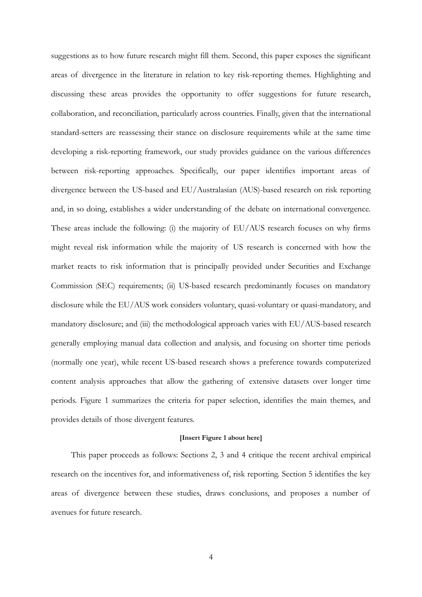suggestions as to how future research might fill them. Second, this paper exposes the significant areas of divergence in the literature in relation to key risk-reporting themes. Highlighting and discussing these areas provides the opportunity to offer suggestions for future research, collaboration, and reconciliation, particularly across countries. Finally, given that the international standard-setters are reassessing their stance on disclosure requirements while at the same time developing a risk-reporting framework, our study provides guidance on the various differences between risk-reporting approaches. Specifically, our paper identifies important areas of divergence between the US-based and EU/Australasian (AUS)-based research on risk reporting and, in so doing, establishes a wider understanding of the debate on international convergence. These areas include the following: (i) the majority of EU/AUS research focuses on why firms might reveal risk information while the majority of US research is concerned with how the market reacts to risk information that is principally provided under Securities and Exchange Commission (SEC) requirements; (ii) US-based research predominantly focuses on mandatory disclosure while the EU/AUS work considers voluntary, quasi-voluntary or quasi-mandatory, and mandatory disclosure; and (iii) the methodological approach varies with EU/AUS-based research generally employing manual data collection and analysis, and focusing on shorter time periods (normally one year), while recent US-based research shows a preference towards computerized content analysis approaches that allow the gathering of extensive datasets over longer time periods. Figure 1 summarizes the criteria for paper selection, identifies the main themes, and provides details of those divergent features.

## **[Insert Figure 1 about here]**

This paper proceeds as follows: Sections 2, 3 and 4 critique the recent archival empirical research on the incentives for, and informativeness of, risk reporting. Section 5 identifies the key areas of divergence between these studies, draws conclusions, and proposes a number of avenues for future research.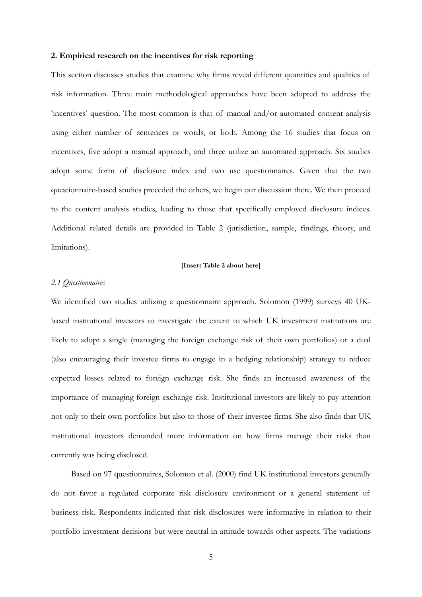#### **2. Empirical research on the incentives for risk reporting**

This section discusses studies that examine why firms reveal different quantities and qualities of risk information. Three main methodological approaches have been adopted to address the 'incentives' question. The most common is that of manual and/or automated content analysis using either number of sentences or words, or both. Among the 16 studies that focus on incentives, five adopt a manual approach, and three utilize an automated approach. Six studies adopt some form of disclosure index and two use questionnaires. Given that the two questionnaire-based studies preceded the others, we begin our discussion there. We then proceed to the content analysis studies, leading to those that specifically employed disclosure indices. Additional related details are provided in Table 2 (jurisdiction, sample, findings, theory, and limitations).

#### **[Insert Table 2 about here]**

#### *2.1 Questionnaires*

We identified two studies utilizing a questionnaire approach. Solomon (1999) surveys 40 UKbased institutional investors to investigate the extent to which UK investment institutions are likely to adopt a single (managing the foreign exchange risk of their own portfolios) or a dual (also encouraging their investee firms to engage in a hedging relationship) strategy to reduce expected losses related to foreign exchange risk. She finds an increased awareness of the importance of managing foreign exchange risk. Institutional investors are likely to pay attention not only to their own portfolios but also to those of their investee firms. She also finds that UK institutional investors demanded more information on how firms manage their risks than currently was being disclosed.

Based on 97 questionnaires, Solomon et al. (2000) find UK institutional investors generally do not favor a regulated corporate risk disclosure environment or a general statement of business risk. Respondents indicated that risk disclosures were informative in relation to their portfolio investment decisions but were neutral in attitude towards other aspects. The variations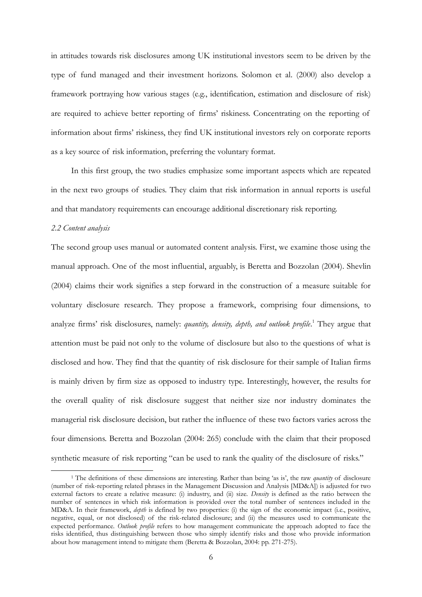in attitudes towards risk disclosures among UK institutional investors seem to be driven by the type of fund managed and their investment horizons. Solomon et al. (2000) also develop a framework portraying how various stages (e.g., identification, estimation and disclosure of risk) are required to achieve better reporting of firms' riskiness. Concentrating on the reporting of information about firms' riskiness, they find UK institutional investors rely on corporate reports as a key source of risk information, preferring the voluntary format.

In this first group, the two studies emphasize some important aspects which are repeated in the next two groups of studies. They claim that risk information in annual reports is useful and that mandatory requirements can encourage additional discretionary risk reporting.

#### *2.2 Content analysis*

-

The second group uses manual or automated content analysis. First, we examine those using the manual approach. One of the most influential, arguably, is Beretta and Bozzolan (2004). Shevlin (2004) claims their work signifies a step forward in the construction of a measure suitable for voluntary disclosure research. They propose a framework, comprising four dimensions, to analyze firms' risk disclosures, namely: *quantity, density, depth, and outlook profile*.<sup>1</sup> They argue that attention must be paid not only to the volume of disclosure but also to the questions of what is disclosed and how*.* They find that the quantity of risk disclosure for their sample of Italian firms is mainly driven by firm size as opposed to industry type. Interestingly, however, the results for the overall quality of risk disclosure suggest that neither size nor industry dominates the managerial risk disclosure decision, but rather the influence of these two factors varies across the four dimensions. Beretta and Bozzolan (2004: 265) conclude with the claim that their proposed synthetic measure of risk reporting "can be used to rank the quality of the disclosure of risks."

<sup>&</sup>lt;sup>1</sup> The definitions of these dimensions are interesting. Rather than being 'as is', the raw *quantity* of disclosure (number of risk-reporting related phrases in the Management Discussion and Analysis [MD&A]) is adjusted for two external factors to create a relative measure: (i) industry, and (ii) size. *Density* is defined as the ratio between the number of sentences in which risk information is provided over the total number of sentences included in the MD&A. In their framework, *depth* is defined by two properties: (i) the sign of the economic impact (i.e., positive, negative, equal, or not disclosed) of the risk-related disclosure; and (ii) the measures used to communicate the expected performance. *Outlook profile* refers to how management communicate the approach adopted to face the risks identified, thus distinguishing between those who simply identify risks and those who provide information about how management intend to mitigate them (Beretta & Bozzolan, 2004: pp. 271-275).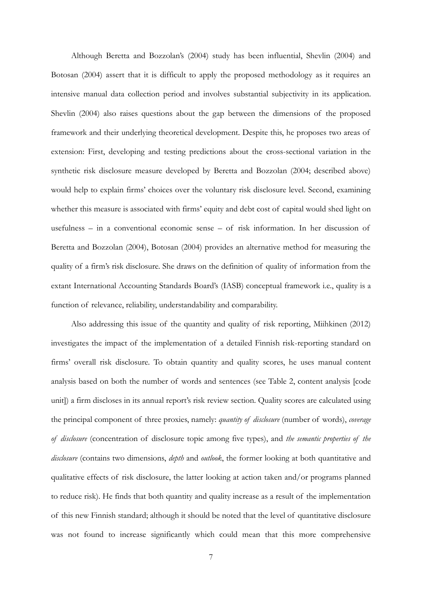Although Beretta and Bozzolan's (2004) study has been influential, Shevlin (2004) and Botosan (2004) assert that it is difficult to apply the proposed methodology as it requires an intensive manual data collection period and involves substantial subjectivity in its application. Shevlin (2004) also raises questions about the gap between the dimensions of the proposed framework and their underlying theoretical development. Despite this, he proposes two areas of extension: First, developing and testing predictions about the cross-sectional variation in the synthetic risk disclosure measure developed by Beretta and Bozzolan (2004; described above) would help to explain firms' choices over the voluntary risk disclosure level. Second, examining whether this measure is associated with firms' equity and debt cost of capital would shed light on usefulness – in a conventional economic sense – of risk information. In her discussion of Beretta and Bozzolan (2004), Botosan (2004) provides an alternative method for measuring the quality of a firm's risk disclosure. She draws on the definition of quality of information from the extant International Accounting Standards Board's (IASB) conceptual framework i.e., quality is a function of relevance, reliability, understandability and comparability.

Also addressing this issue of the quantity and quality of risk reporting, Miihkinen (2012) investigates the impact of the implementation of a detailed Finnish risk-reporting standard on firms' overall risk disclosure. To obtain quantity and quality scores, he uses manual content analysis based on both the number of words and sentences (see Table 2, content analysis [code unit]) a firm discloses in its annual report's risk review section. Quality scores are calculated using the principal component of three proxies, namely: *quantity of disclosure* (number of words), *coverage of disclosure* (concentration of disclosure topic among five types), and *the semantic properties of the disclosure* (contains two dimensions, *depth* and *outlook*, the former looking at both quantitative and qualitative effects of risk disclosure, the latter looking at action taken and/or programs planned to reduce risk). He finds that both quantity and quality increase as a result of the implementation of this new Finnish standard; although it should be noted that the level of quantitative disclosure was not found to increase significantly which could mean that this more comprehensive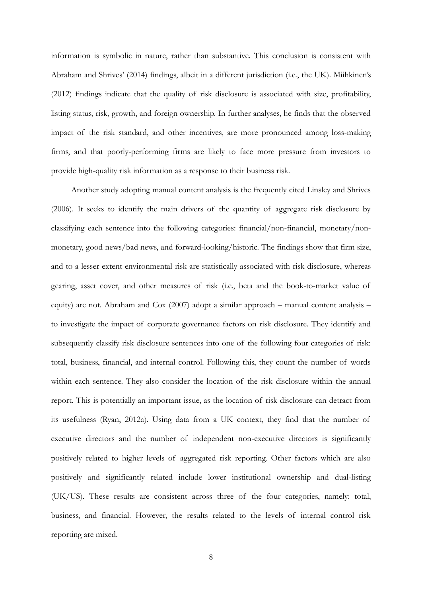information is symbolic in nature, rather than substantive. This conclusion is consistent with Abraham and Shrives' (2014) findings, albeit in a different jurisdiction (i.e., the UK). Miihkinen's (2012) findings indicate that the quality of risk disclosure is associated with size, profitability, listing status, risk, growth, and foreign ownership. In further analyses, he finds that the observed impact of the risk standard, and other incentives, are more pronounced among loss-making firms, and that poorly-performing firms are likely to face more pressure from investors to provide high-quality risk information as a response to their business risk.

Another study adopting manual content analysis is the frequently cited Linsley and Shrives (2006). It seeks to identify the main drivers of the quantity of aggregate risk disclosure by classifying each sentence into the following categories: financial/non-financial, monetary/nonmonetary, good news/bad news, and forward-looking/historic. The findings show that firm size, and to a lesser extent environmental risk are statistically associated with risk disclosure, whereas gearing, asset cover, and other measures of risk (i.e., beta and the book-to-market value of equity) are not. Abraham and Cox (2007) adopt a similar approach – manual content analysis – to investigate the impact of corporate governance factors on risk disclosure. They identify and subsequently classify risk disclosure sentences into one of the following four categories of risk: total, business, financial, and internal control. Following this, they count the number of words within each sentence. They also consider the location of the risk disclosure within the annual report. This is potentially an important issue, as the location of risk disclosure can detract from its usefulness (Ryan, 2012a). Using data from a UK context, they find that the number of executive directors and the number of independent non-executive directors is significantly positively related to higher levels of aggregated risk reporting. Other factors which are also positively and significantly related include lower institutional ownership and dual-listing (UK/US). These results are consistent across three of the four categories, namely: total, business, and financial. However, the results related to the levels of internal control risk reporting are mixed.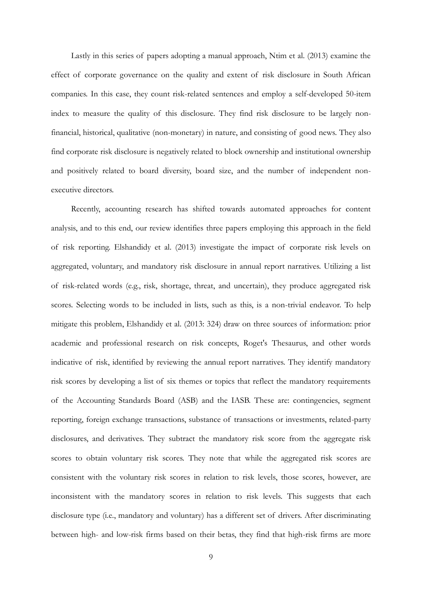Lastly in this series of papers adopting a manual approach, Ntim et al. (2013) examine the effect of corporate governance on the quality and extent of risk disclosure in South African companies. In this case, they count risk-related sentences and employ a self-developed 50-item index to measure the quality of this disclosure. They find risk disclosure to be largely nonfinancial, historical, qualitative (non-monetary) in nature, and consisting of good news. They also find corporate risk disclosure is negatively related to block ownership and institutional ownership and positively related to board diversity, board size, and the number of independent nonexecutive directors.

Recently, accounting research has shifted towards automated approaches for content analysis, and to this end, our review identifies three papers employing this approach in the field of risk reporting. Elshandidy et al. (2013) investigate the impact of corporate risk levels on aggregated, voluntary, and mandatory risk disclosure in annual report narratives. Utilizing a list of risk-related words (e.g., risk, shortage, threat, and uncertain), they produce aggregated risk scores. Selecting words to be included in lists, such as this, is a non-trivial endeavor. To help mitigate this problem, Elshandidy et al. (2013: 324) draw on three sources of information: prior academic and professional research on risk concepts, Roget's Thesaurus, and other words indicative of risk, identified by reviewing the annual report narratives. They identify mandatory risk scores by developing a list of six themes or topics that reflect the mandatory requirements of the Accounting Standards Board (ASB) and the IASB. These are: contingencies, segment reporting, foreign exchange transactions, substance of transactions or investments, related-party disclosures, and derivatives. They subtract the mandatory risk score from the aggregate risk scores to obtain voluntary risk scores. They note that while the aggregated risk scores are consistent with the voluntary risk scores in relation to risk levels, those scores, however, are inconsistent with the mandatory scores in relation to risk levels. This suggests that each disclosure type (i.e., mandatory and voluntary) has a different set of drivers. After discriminating between high- and low-risk firms based on their betas, they find that high-risk firms are more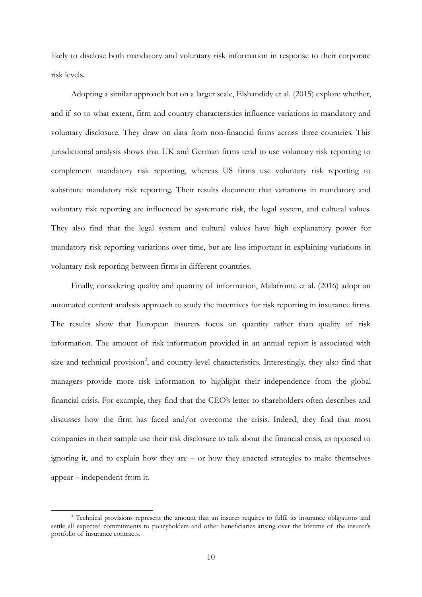likely to disclose both mandatory and voluntary risk information in response to their corporate risk levels.

Adopting a similar approach but on a larger scale, Elshandidy et al*.* (2015) explore whether, and if so to what extent, firm and country characteristics influence variations in mandatory and voluntary disclosure. They draw on data from non-financial firms across three countries. This jurisdictional analysis shows that UK and German firms tend to use voluntary risk reporting to complement mandatory risk reporting, whereas US firms use voluntary risk reporting to substitute mandatory risk reporting. Their results document that variations in mandatory and voluntary risk reporting are influenced by systematic risk, the legal system, and cultural values. They also find that the legal system and cultural values have high explanatory power for mandatory risk reporting variations over time, but are less important in explaining variations in voluntary risk reporting between firms in different countries.

Finally, considering quality and quantity of information, Malafronte et al. (2016) adopt an automated content analysis approach to study the incentives for risk reporting in insurance firms. The results show that European insurers focus on quantity rather than quality of risk information. The amount of risk information provided in an annual report is associated with size and technical provision<sup>2</sup>, and country-level characteristics. Interestingly, they also find that managers provide more risk information to highlight their independence from the global financial crisis. For example, they find that the CEO's letter to shareholders often describes and discusses how the firm has faced and/or overcome the crisis. Indeed, they find that most companies in their sample use their risk disclosure to talk about the financial crisis, as opposed to ignoring it, and to explain how they are – or how they enacted strategies to make themselves appear – independent from it.

<sup>2</sup> Technical provisions represent the amount that an insurer requires to fulfil its insurance obligations and settle all expected commitments to policyholders and other beneficiaries arising over the lifetime of the insurer's portfolio of insurance contracts.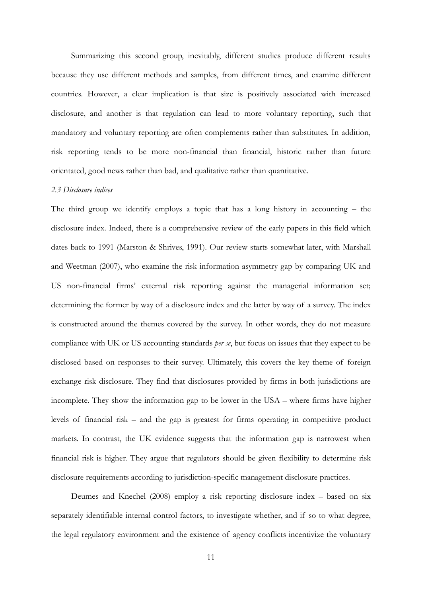Summarizing this second group, inevitably, different studies produce different results because they use different methods and samples, from different times, and examine different countries. However, a clear implication is that size is positively associated with increased disclosure, and another is that regulation can lead to more voluntary reporting, such that mandatory and voluntary reporting are often complements rather than substitutes. In addition, risk reporting tends to be more non-financial than financial, historic rather than future orientated, good news rather than bad, and qualitative rather than quantitative.

## *2.3 Disclosure indices*

The third group we identify employs a topic that has a long history in accounting – the disclosure index. Indeed, there is a comprehensive review of the early papers in this field which dates back to 1991 (Marston & Shrives, 1991). Our review starts somewhat later, with Marshall and Weetman (2007), who examine the risk information asymmetry gap by comparing UK and US non-financial firms' external risk reporting against the managerial information set; determining the former by way of a disclosure index and the latter by way of a survey. The index is constructed around the themes covered by the survey. In other words, they do not measure compliance with UK or US accounting standards *per se*, but focus on issues that they expect to be disclosed based on responses to their survey. Ultimately, this covers the key theme of foreign exchange risk disclosure. They find that disclosures provided by firms in both jurisdictions are incomplete. They show the information gap to be lower in the USA – where firms have higher levels of financial risk – and the gap is greatest for firms operating in competitive product markets. In contrast, the UK evidence suggests that the information gap is narrowest when financial risk is higher. They argue that regulators should be given flexibility to determine risk disclosure requirements according to jurisdiction-specific management disclosure practices.

Deumes and Knechel (2008) employ a risk reporting disclosure index – based on six separately identifiable internal control factors, to investigate whether, and if so to what degree, the legal regulatory environment and the existence of agency conflicts incentivize the voluntary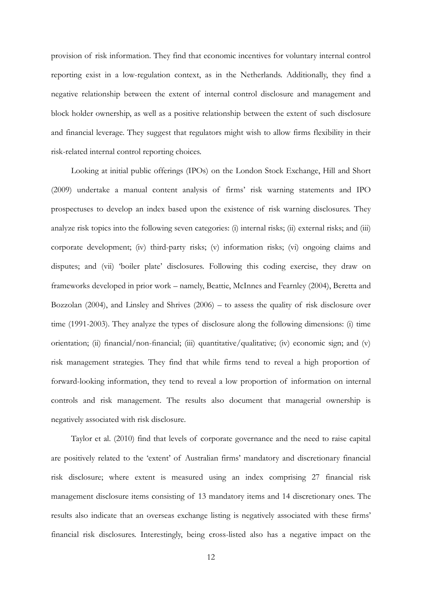provision of risk information. They find that economic incentives for voluntary internal control reporting exist in a low-regulation context, as in the Netherlands. Additionally, they find a negative relationship between the extent of internal control disclosure and management and block holder ownership, as well as a positive relationship between the extent of such disclosure and financial leverage. They suggest that regulators might wish to allow firms flexibility in their risk-related internal control reporting choices.

Looking at initial public offerings (IPOs) on the London Stock Exchange, Hill and Short (2009) undertake a manual content analysis of firms' risk warning statements and IPO prospectuses to develop an index based upon the existence of risk warning disclosures. They analyze risk topics into the following seven categories: (i) internal risks; (ii) external risks; and (iii) corporate development; (iv) third-party risks; (v) information risks; (vi) ongoing claims and disputes; and (vii) 'boiler plate' disclosures. Following this coding exercise, they draw on frameworks developed in prior work – namely, Beattie, McInnes and Fearnley (2004), Beretta and Bozzolan (2004), and Linsley and Shrives (2006) – to assess the quality of risk disclosure over time (1991-2003). They analyze the types of disclosure along the following dimensions: (i) time orientation; (ii) financial/non-financial; (iii) quantitative/qualitative; (iv) economic sign; and (v) risk management strategies. They find that while firms tend to reveal a high proportion of forward-looking information, they tend to reveal a low proportion of information on internal controls and risk management. The results also document that managerial ownership is negatively associated with risk disclosure.

Taylor et al. (2010) find that levels of corporate governance and the need to raise capital are positively related to the 'extent' of Australian firms' mandatory and discretionary financial risk disclosure; where extent is measured using an index comprising 27 financial risk management disclosure items consisting of 13 mandatory items and 14 discretionary ones. The results also indicate that an overseas exchange listing is negatively associated with these firms' financial risk disclosures. Interestingly, being cross-listed also has a negative impact on the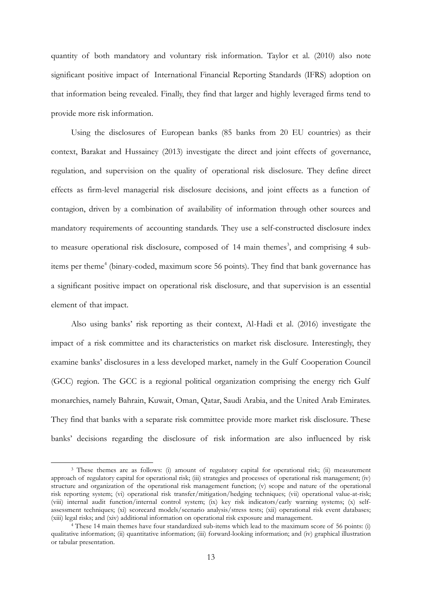quantity of both mandatory and voluntary risk information. Taylor et al. (2010) also note significant positive impact of International Financial Reporting Standards (IFRS) adoption on that information being revealed. Finally, they find that larger and highly leveraged firms tend to provide more risk information.

Using the disclosures of European banks (85 banks from 20 EU countries) as their context, Barakat and Hussainey (2013) investigate the direct and joint effects of governance, regulation, and supervision on the quality of operational risk disclosure. They define direct effects as firm-level managerial risk disclosure decisions, and joint effects as a function of contagion, driven by a combination of availability of information through other sources and mandatory requirements of accounting standards. They use a self-constructed disclosure index to measure operational risk disclosure, composed of 14 main themes<sup>3</sup>, and comprising 4 subitems per theme<sup>4</sup> (binary-coded, maximum score 56 points). They find that bank governance has a significant positive impact on operational risk disclosure, and that supervision is an essential element of that impact.

Also using banks' risk reporting as their context, Al-Hadi et al. (2016) investigate the impact of a risk committee and its characteristics on market risk disclosure. Interestingly, they examine banks' disclosures in a less developed market, namely in the Gulf Cooperation Council (GCC) region. The GCC is a regional political organization comprising the energy rich Gulf monarchies, namely Bahrain, Kuwait, Oman, Qatar, Saudi Arabia, and the United Arab Emirates. They find that banks with a separate risk committee provide more market risk disclosure. These banks' decisions regarding the disclosure of risk information are also influenced by risk

<sup>3</sup> These themes are as follows: (i) amount of regulatory capital for operational risk; (ii) measurement approach of regulatory capital for operational risk; (iii) strategies and processes of operational risk management; (iv) structure and organization of the operational risk management function; (v) scope and nature of the operational risk reporting system; (vi) operational risk transfer/mitigation/hedging techniques; (vii) operational value-at-risk; (viii) internal audit function/internal control system; (ix) key risk indicators/early warning systems; (x) selfassessment techniques; (xi) scorecard models/scenario analysis/stress tests; (xii) operational risk event databases; (xiii) legal risks; and (xiv) additional information on operational risk exposure and management.

<sup>4</sup> These 14 main themes have four standardized sub-items which lead to the maximum score of 56 points: (i) qualitative information; (ii) quantitative information; (iii) forward-looking information; and (iv) graphical illustration or tabular presentation.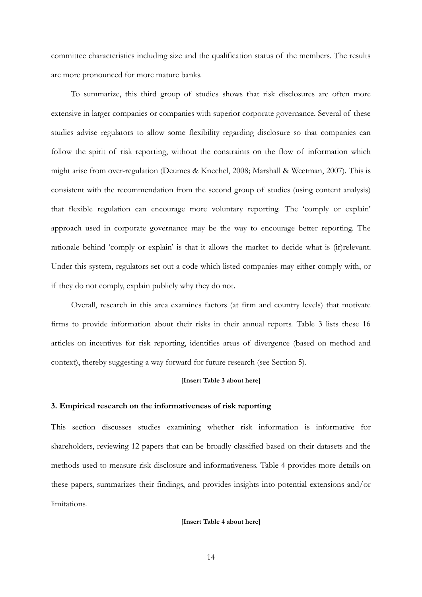committee characteristics including size and the qualification status of the members. The results are more pronounced for more mature banks.

To summarize, this third group of studies shows that risk disclosures are often more extensive in larger companies or companies with superior corporate governance. Several of these studies advise regulators to allow some flexibility regarding disclosure so that companies can follow the spirit of risk reporting, without the constraints on the flow of information which might arise from over-regulation (Deumes & Knechel, 2008; Marshall & Weetman, 2007). This is consistent with the recommendation from the second group of studies (using content analysis) that flexible regulation can encourage more voluntary reporting. The 'comply or explain' approach used in corporate governance may be the way to encourage better reporting. The rationale behind 'comply or explain' is that it allows the market to decide what is (ir)relevant. Under this system, regulators set out a code which listed companies may either comply with, or if they do not comply, explain publicly why they do not.

Overall, research in this area examines factors (at firm and country levels) that motivate firms to provide information about their risks in their annual reports. Table 3 lists these 16 articles on incentives for risk reporting, identifies areas of divergence (based on method and context), thereby suggesting a way forward for future research (see Section 5).

#### **[Insert Table 3 about here]**

#### **3. Empirical research on the informativeness of risk reporting**

This section discusses studies examining whether risk information is informative for shareholders, reviewing 12 papers that can be broadly classified based on their datasets and the methods used to measure risk disclosure and informativeness. Table 4 provides more details on these papers, summarizes their findings, and provides insights into potential extensions and/or limitations.

## **[Insert Table 4 about here]**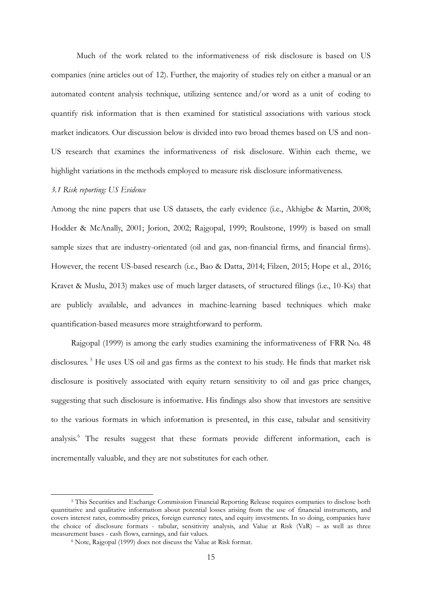Much of the work related to the informativeness of risk disclosure is based on US companies (nine articles out of 12). Further, the majority of studies rely on either a manual or an automated content analysis technique, utilizing sentence and/or word as a unit of coding to quantify risk information that is then examined for statistical associations with various stock market indicators. Our discussion below is divided into two broad themes based on US and non-US research that examines the informativeness of risk disclosure. Within each theme, we highlight variations in the methods employed to measure risk disclosure informativeness.

## *3.1 Risk reporting: US Evidence*

-

Among the nine papers that use US datasets, the early evidence (i.e., Akhigbe & Martin, 2008; Hodder & McAnally, 2001; Jorion, 2002; Rajgopal, 1999; Roulstone, 1999) is based on small sample sizes that are industry-orientated (oil and gas, non-financial firms, and financial firms). However, the recent US-based research (i.e., Bao & Datta, 2014; Filzen, 2015; Hope et al., 2016; Kravet & Muslu, 2013) makes use of much larger datasets, of structured filings (i.e., 10-Ks) that are publicly available, and advances in machine-learning based techniques which make quantification-based measures more straightforward to perform.

Rajgopal (1999) is among the early studies examining the informativeness of FRR No. 48 disclosures.<sup>5</sup> He uses US oil and gas firms as the context to his study. He finds that market risk disclosure is positively associated with equity return sensitivity to oil and gas price changes, suggesting that such disclosure is informative. His findings also show that investors are sensitive to the various formats in which information is presented, in this case, tabular and sensitivity analysis.<sup>6</sup> The results suggest that these formats provide different information, each is incrementally valuable, and they are not substitutes for each other.

<sup>5</sup> This Securities and Exchange Commission Financial Reporting Release requires companies to disclose both quantitative and qualitative information about potential losses arising from the use of financial instruments, and covers interest rates, commodity prices, foreign currency rates, and equity investments. In so doing, companies have the choice of disclosure formats - tabular, sensitivity analysis, and Value at Risk (VaR) – as well as three measurement bases - cash flows, earnings, and fair values.

<sup>6</sup> Note, Rajgopal (1999) does not discuss the Value at Risk format.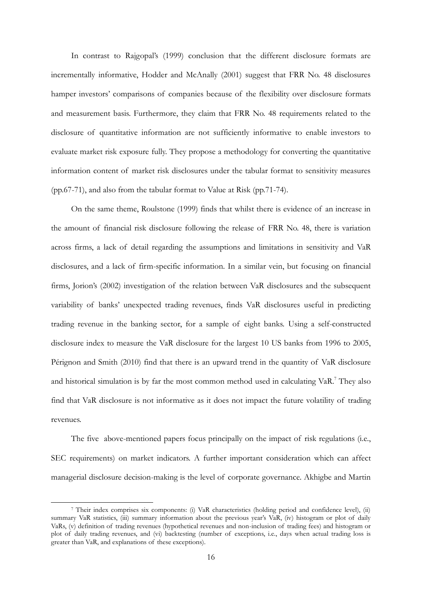In contrast to Rajgopal's (1999) conclusion that the different disclosure formats are incrementally informative, Hodder and McAnally (2001) suggest that FRR No. 48 disclosures hamper investors' comparisons of companies because of the flexibility over disclosure formats and measurement basis. Furthermore, they claim that FRR No. 48 requirements related to the disclosure of quantitative information are not sufficiently informative to enable investors to evaluate market risk exposure fully. They propose a methodology for converting the quantitative information content of market risk disclosures under the tabular format to sensitivity measures (pp.67-71), and also from the tabular format to Value at Risk (pp.71-74).

On the same theme, Roulstone (1999) finds that whilst there is evidence of an increase in the amount of financial risk disclosure following the release of FRR No. 48, there is variation across firms, a lack of detail regarding the assumptions and limitations in sensitivity and VaR disclosures, and a lack of firm-specific information. In a similar vein, but focusing on financial firms, Jorion's (2002) investigation of the relation between VaR disclosures and the subsequent variability of banks' unexpected trading revenues, finds VaR disclosures useful in predicting trading revenue in the banking sector, for a sample of eight banks. Using a self-constructed disclosure index to measure the VaR disclosure for the largest 10 US banks from 1996 to 2005, Pérignon and Smith (2010) find that there is an upward trend in the quantity of VaR disclosure and historical simulation is by far the most common method used in calculating VaR.<sup>7</sup> They also find that VaR disclosure is not informative as it does not impact the future volatility of trading revenues.

The five above-mentioned papers focus principally on the impact of risk regulations (i.e., SEC requirements) on market indicators. A further important consideration which can affect managerial disclosure decision-making is the level of corporate governance. Akhigbe and Martin

<sup>7</sup> Their index comprises six components: (i) VaR characteristics (holding period and confidence level), (ii) summary VaR statistics, (iii) summary information about the previous year's VaR, (iv) histogram or plot of daily VaRs, (v) definition of trading revenues (hypothetical revenues and non-inclusion of trading fees) and histogram or plot of daily trading revenues, and (vi) backtesting (number of exceptions, i.e., days when actual trading loss is greater than VaR, and explanations of these exceptions).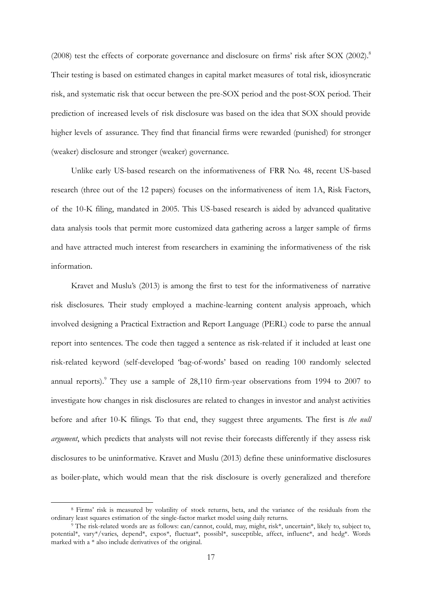(2008) test the effects of corporate governance and disclosure on firms' risk after SOX (2002).<sup>8</sup> Their testing is based on estimated changes in capital market measures of total risk, idiosyncratic risk, and systematic risk that occur between the pre-SOX period and the post-SOX period. Their prediction of increased levels of risk disclosure was based on the idea that SOX should provide higher levels of assurance. They find that financial firms were rewarded (punished) for stronger (weaker) disclosure and stronger (weaker) governance.

Unlike early US-based research on the informativeness of FRR No. 48, recent US-based research (three out of the 12 papers) focuses on the informativeness of item 1A, Risk Factors, of the 10-K filing, mandated in 2005. This US-based research is aided by advanced qualitative data analysis tools that permit more customized data gathering across a larger sample of firms and have attracted much interest from researchers in examining the informativeness of the risk information.

Kravet and Muslu's (2013) is among the first to test for the informativeness of narrative risk disclosures. Their study employed a machine-learning content analysis approach, which involved designing a Practical Extraction and Report Language (PERL) code to parse the annual report into sentences. The code then tagged a sentence as risk-related if it included at least one risk-related keyword (self-developed 'bag-of-words' based on reading 100 randomly selected annual reports).<sup>9</sup> They use a sample of 28,110 firm-year observations from 1994 to 2007 to investigate how changes in risk disclosures are related to changes in investor and analyst activities before and after 10-K filings. To that end, they suggest three arguments. The first is *the null argument*, which predicts that analysts will not revise their forecasts differently if they assess risk disclosures to be uninformative. Kravet and Muslu (2013) define these uninformative disclosures as boiler-plate, which would mean that the risk disclosure is overly generalized and therefore

<sup>8</sup> Firms' risk is measured by volatility of stock returns, beta, and the variance of the residuals from the ordinary least squares estimation of the single-factor market model using daily returns.

<sup>9</sup> The risk-related words are as follows: can/cannot, could, may, might, risk\*, uncertain\*, likely to, subject to, potential\*, vary\*/varies, depend\*, expos\*, fluctuat\*, possibl\*, susceptible, affect, influenc\*, and hedg\*. Words marked with a \* also include derivatives of the original.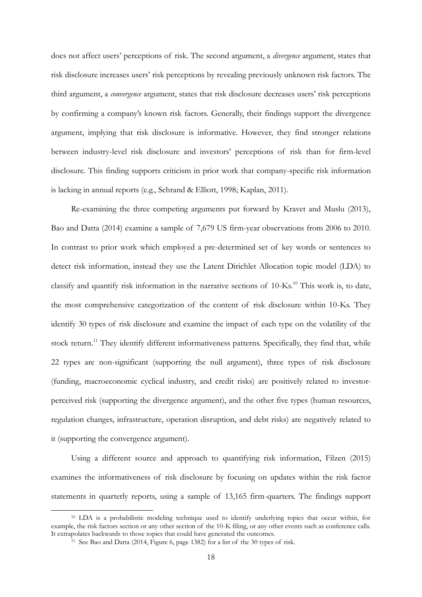does not affect users' perceptions of risk. The second argument, a *divergence* argument, states that risk disclosure increases users' risk perceptions by revealing previously unknown risk factors. The third argument, a *convergence* argument, states that risk disclosure decreases users' risk perceptions by confirming a company's known risk factors. Generally, their findings support the divergence argument, implying that risk disclosure is informative. However, they find stronger relations between industry-level risk disclosure and investors' perceptions of risk than for firm-level disclosure. This finding supports criticism in prior work that company-specific risk information is lacking in annual reports (e.g., Schrand & Elliott, 1998; Kaplan, 2011).

Re-examining the three competing arguments put forward by Kravet and Muslu (2013), Bao and Datta (2014) examine a sample of 7,679 US firm-year observations from 2006 to 2010. In contrast to prior work which employed a pre-determined set of key words or sentences to detect risk information, instead they use the Latent Dirichlet Allocation topic model (LDA) to classify and quantify risk information in the narrative sections of  $10$ -Ks.<sup>10</sup> This work is, to date, the most comprehensive categorization of the content of risk disclosure within 10-Ks. They identify 30 types of risk disclosure and examine the impact of each type on the volatility of the stock return.<sup>11</sup> They identify different informativeness patterns. Specifically, they find that, while 22 types are non-significant (supporting the null argument), three types of risk disclosure (funding, macroeconomic cyclical industry, and credit risks) are positively related to investorperceived risk (supporting the divergence argument), and the other five types (human resources, regulation changes, infrastructure, operation disruption, and debt risks) are negatively related to it (supporting the convergence argument).

Using a different source and approach to quantifying risk information, Filzen (2015) examines the informativeness of risk disclosure by focusing on updates within the risk factor statements in quarterly reports, using a sample of 13,165 firm-quarters. The findings support

<sup>10</sup> LDA is a probabilistic modeling technique used to identify underlying topics that occur within, for example, the risk factors section or any other section of the 10-K filing, or any other events such as conference calls. It extrapolates backwards to those topics that could have generated the outcomes.

<sup>11</sup> See Bao and Datta (2014, Figure 6, page 1382) for a list of the 30 types of risk.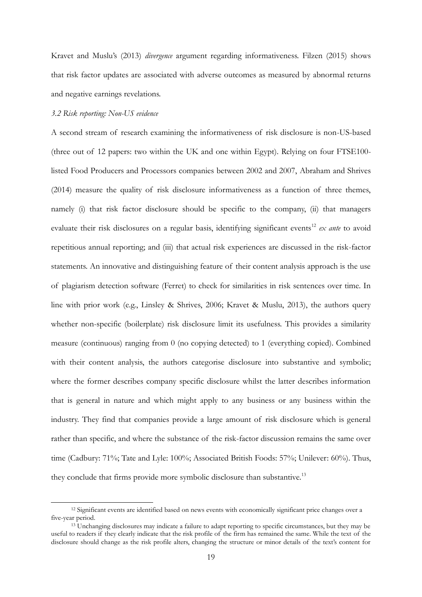Kravet and Muslu's (2013) *divergence* argument regarding informativeness. Filzen (2015) shows that risk factor updates are associated with adverse outcomes as measured by abnormal returns and negative earnings revelations.

## *3.2 Risk reporting: Non-US evidence*

-

A second stream of research examining the informativeness of risk disclosure is non-US-based (three out of 12 papers: two within the UK and one within Egypt). Relying on four FTSE100 listed Food Producers and Processors companies between 2002 and 2007, Abraham and Shrives (2014) measure the quality of risk disclosure informativeness as a function of three themes, namely (i) that risk factor disclosure should be specific to the company, (ii) that managers evaluate their risk disclosures on a regular basis, identifying significant events<sup>12</sup> *ex ante* to avoid repetitious annual reporting; and (iii) that actual risk experiences are discussed in the risk-factor statements. An innovative and distinguishing feature of their content analysis approach is the use of plagiarism detection software (Ferret) to check for similarities in risk sentences over time. In line with prior work (e.g., Linsley & Shrives, 2006; Kravet & Muslu, 2013), the authors query whether non-specific (boilerplate) risk disclosure limit its usefulness. This provides a similarity measure (continuous) ranging from 0 (no copying detected) to 1 (everything copied). Combined with their content analysis, the authors categorise disclosure into substantive and symbolic; where the former describes company specific disclosure whilst the latter describes information that is general in nature and which might apply to any business or any business within the industry. They find that companies provide a large amount of risk disclosure which is general rather than specific, and where the substance of the risk-factor discussion remains the same over time (Cadbury: 71%; Tate and Lyle: 100%; Associated British Foods: 57%; Unilever: 60%). Thus, they conclude that firms provide more symbolic disclosure than substantive.<sup>13</sup>

<sup>12</sup> Significant events are identified based on news events with economically significant price changes over a five-year period.

<sup>&</sup>lt;sup>13</sup> Unchanging disclosures may indicate a failure to adapt reporting to specific circumstances, but they may be useful to readers if they clearly indicate that the risk profile of the firm has remained the same. While the text of the disclosure should change as the risk profile alters, changing the structure or minor details of the text's content for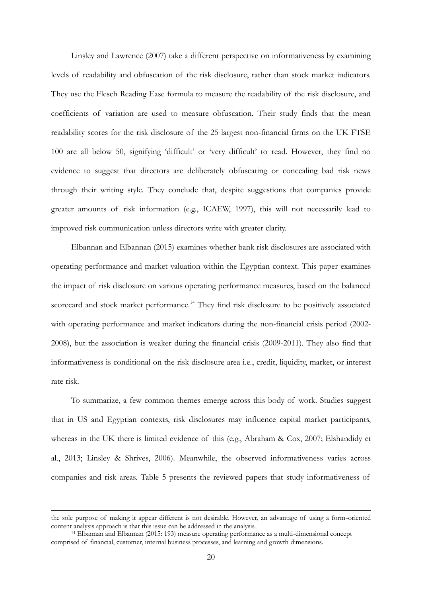Linsley and Lawrence (2007) take a different perspective on informativeness by examining levels of readability and obfuscation of the risk disclosure, rather than stock market indicators. They use the Flesch Reading Ease formula to measure the readability of the risk disclosure, and coefficients of variation are used to measure obfuscation. Their study finds that the mean readability scores for the risk disclosure of the 25 largest non-financial firms on the UK FTSE 100 are all below 50, signifying 'difficult' or 'very difficult' to read. However, they find no evidence to suggest that directors are deliberately obfuscating or concealing bad risk news through their writing style. They conclude that, despite suggestions that companies provide greater amounts of risk information (e.g., ICAEW, 1997), this will not necessarily lead to improved risk communication unless directors write with greater clarity.

Elbannan and Elbannan (2015) examines whether bank risk disclosures are associated with operating performance and market valuation within the Egyptian context. This paper examines the impact of risk disclosure on various operating performance measures, based on the balanced scorecard and stock market performance.<sup>14</sup> They find risk disclosure to be positively associated with operating performance and market indicators during the non-financial crisis period (2002- 2008), but the association is weaker during the financial crisis (2009-2011). They also find that informativeness is conditional on the risk disclosure area i.e., credit, liquidity, market, or interest rate risk.

To summarize, a few common themes emerge across this body of work. Studies suggest that in US and Egyptian contexts, risk disclosures may influence capital market participants, whereas in the UK there is limited evidence of this (e.g., Abraham & Cox, 2007; Elshandidy et al., 2013; Linsley & Shrives, 2006). Meanwhile, the observed informativeness varies across companies and risk areas. Table 5 presents the reviewed papers that study informativeness of

the sole purpose of making it appear different is not desirable. However, an advantage of using a form-oriented content analysis approach is that this issue can be addressed in the analysis.

<sup>14</sup> Elbannan and Elbannan (2015: 193) measure operating performance as a multi-dimensional concept comprised of financial, customer, internal business processes, and learning and growth dimensions.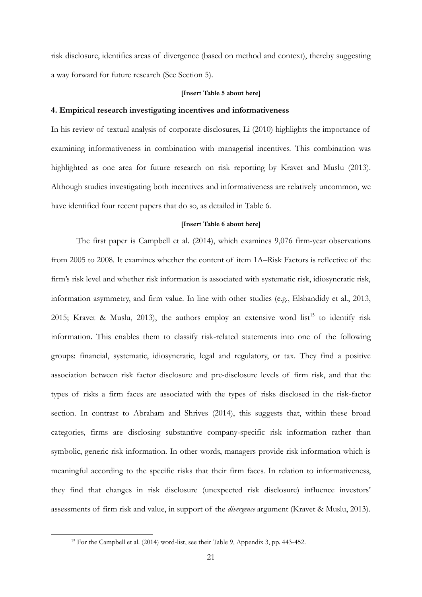risk disclosure, identifies areas of divergence (based on method and context), thereby suggesting a way forward for future research (See Section 5).

#### **[Insert Table 5 about here]**

## **4. Empirical research investigating incentives and informativeness**

In his review of textual analysis of corporate disclosures, Li (2010) highlights the importance of examining informativeness in combination with managerial incentives. This combination was highlighted as one area for future research on risk reporting by Kravet and Muslu (2013). Although studies investigating both incentives and informativeness are relatively uncommon, we have identified four recent papers that do so, as detailed in Table 6.

#### **[Insert Table 6 about here]**

The first paper is Campbell et al. (2014), which examines 9,076 firm-year observations from 2005 to 2008. It examines whether the content of item 1A–Risk Factors is reflective of the firm's risk level and whether risk information is associated with systematic risk, idiosyncratic risk, information asymmetry, and firm value. In line with other studies (e.g., Elshandidy et al., 2013, 2015; Kravet & Muslu, 2013), the authors employ an extensive word  $list^{15}$  to identify risk information. This enables them to classify risk-related statements into one of the following groups: financial, systematic, idiosyncratic, legal and regulatory, or tax. They find a positive association between risk factor disclosure and pre-disclosure levels of firm risk, and that the types of risks a firm faces are associated with the types of risks disclosed in the risk-factor section. In contrast to Abraham and Shrives (2014), this suggests that, within these broad categories, firms are disclosing substantive company-specific risk information rather than symbolic, generic risk information. In other words, managers provide risk information which is meaningful according to the specific risks that their firm faces. In relation to informativeness, they find that changes in risk disclosure (unexpected risk disclosure) influence investors' assessments of firm risk and value, in support of the *divergence* argument (Kravet & Muslu, 2013).

<sup>15</sup> For the Campbell et al. (2014) word-list, see their Table 9, Appendix 3, pp. 443-452.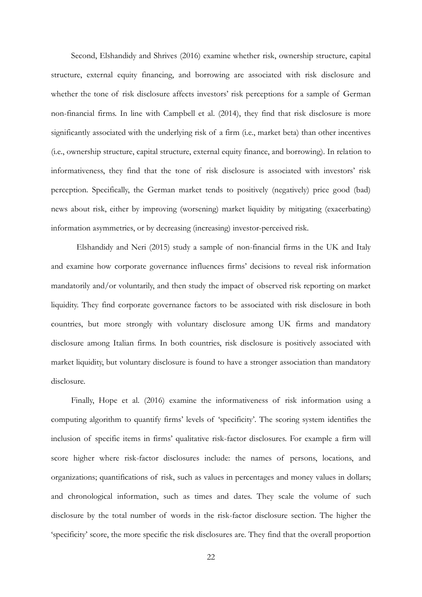Second, Elshandidy and Shrives (2016) examine whether risk, ownership structure, capital structure, external equity financing, and borrowing are associated with risk disclosure and whether the tone of risk disclosure affects investors' risk perceptions for a sample of German non-financial firms. In line with Campbell et al. (2014), they find that risk disclosure is more significantly associated with the underlying risk of a firm (i.e., market beta) than other incentives (i.e., ownership structure, capital structure, external equity finance, and borrowing). In relation to informativeness, they find that the tone of risk disclosure is associated with investors' risk perception. Specifically, the German market tends to positively (negatively) price good (bad) news about risk, either by improving (worsening) market liquidity by mitigating (exacerbating) information asymmetries, or by decreasing (increasing) investor-perceived risk.

Elshandidy and Neri (2015) study a sample of non-financial firms in the UK and Italy and examine how corporate governance influences firms' decisions to reveal risk information mandatorily and/or voluntarily, and then study the impact of observed risk reporting on market liquidity. They find corporate governance factors to be associated with risk disclosure in both countries, but more strongly with voluntary disclosure among UK firms and mandatory disclosure among Italian firms. In both countries, risk disclosure is positively associated with market liquidity, but voluntary disclosure is found to have a stronger association than mandatory disclosure.

Finally, Hope et al. (2016) examine the informativeness of risk information using a computing algorithm to quantify firms' levels of 'specificity'. The scoring system identifies the inclusion of specific items in firms' qualitative risk-factor disclosures. For example a firm will score higher where risk-factor disclosures include: the names of persons, locations, and organizations; quantifications of risk, such as values in percentages and money values in dollars; and chronological information, such as times and dates. They scale the volume of such disclosure by the total number of words in the risk-factor disclosure section. The higher the 'specificity' score, the more specific the risk disclosures are. They find that the overall proportion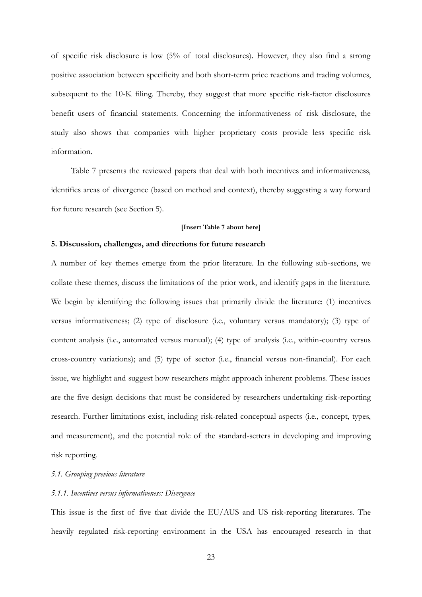of specific risk disclosure is low (5% of total disclosures). However, they also find a strong positive association between specificity and both short-term price reactions and trading volumes, subsequent to the 10-K filing. Thereby, they suggest that more specific risk-factor disclosures benefit users of financial statements. Concerning the informativeness of risk disclosure, the study also shows that companies with higher proprietary costs provide less specific risk information.

Table 7 presents the reviewed papers that deal with both incentives and informativeness, identifies areas of divergence (based on method and context), thereby suggesting a way forward for future research (see Section 5).

#### **[Insert Table 7 about here]**

## **5. Discussion, challenges, and directions for future research**

A number of key themes emerge from the prior literature. In the following sub-sections, we collate these themes, discuss the limitations of the prior work, and identify gaps in the literature. We begin by identifying the following issues that primarily divide the literature: (1) incentives versus informativeness; (2) type of disclosure (i.e., voluntary versus mandatory); (3) type of content analysis (i.e., automated versus manual); (4) type of analysis (i.e., within-country versus cross-country variations); and (5) type of sector (i.e., financial versus non-financial). For each issue, we highlight and suggest how researchers might approach inherent problems. These issues are the five design decisions that must be considered by researchers undertaking risk-reporting research. Further limitations exist, including risk-related conceptual aspects (i.e., concept, types, and measurement), and the potential role of the standard-setters in developing and improving risk reporting.

## *5.1. Grouping previous literature*

#### *5.1.1. Incentives versus informativeness: Divergence*

This issue is the first of five that divide the EU/AUS and US risk-reporting literatures. The heavily regulated risk-reporting environment in the USA has encouraged research in that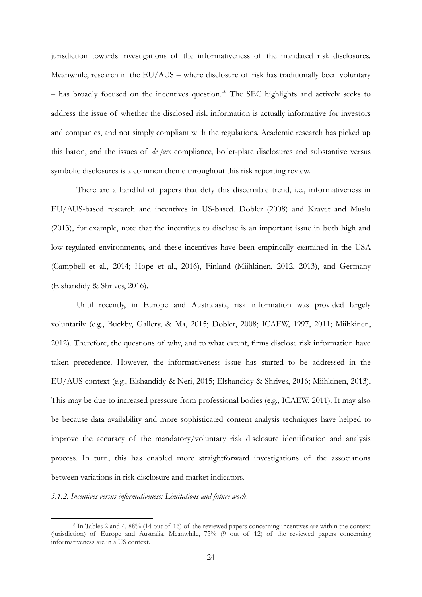jurisdiction towards investigations of the informativeness of the mandated risk disclosures. Meanwhile, research in the EU/AUS – where disclosure of risk has traditionally been voluntary  $-$  has broadly focused on the incentives question.<sup>16</sup> The SEC highlights and actively seeks to address the issue of whether the disclosed risk information is actually informative for investors and companies, and not simply compliant with the regulations. Academic research has picked up this baton, and the issues of *de jure* compliance, boiler-plate disclosures and substantive versus symbolic disclosures is a common theme throughout this risk reporting review.

There are a handful of papers that defy this discernible trend, i.e., informativeness in EU/AUS-based research and incentives in US-based. Dobler (2008) and Kravet and Muslu (2013), for example, note that the incentives to disclose is an important issue in both high and low-regulated environments, and these incentives have been empirically examined in the USA (Campbell et al., 2014; Hope et al., 2016), Finland (Miihkinen, 2012, 2013), and Germany (Elshandidy & Shrives, 2016).

Until recently, in Europe and Australasia, risk information was provided largely voluntarily (e.g., Buckby, Gallery, & Ma, 2015; Dobler, 2008; ICAEW, 1997, 2011; Miihkinen, 2012). Therefore, the questions of why, and to what extent, firms disclose risk information have taken precedence. However, the informativeness issue has started to be addressed in the EU/AUS context (e.g., Elshandidy & Neri, 2015; Elshandidy & Shrives, 2016; Miihkinen, 2013). This may be due to increased pressure from professional bodies (e.g., ICAEW, 2011). It may also be because data availability and more sophisticated content analysis techniques have helped to improve the accuracy of the mandatory/voluntary risk disclosure identification and analysis process. In turn, this has enabled more straightforward investigations of the associations between variations in risk disclosure and market indicators.

*5.1.2. Incentives versus informativeness: Limitations and future work* 

<sup>16</sup> In Tables 2 and 4, 88% (14 out of 16) of the reviewed papers concerning incentives are within the context (jurisdiction) of Europe and Australia. Meanwhile, 75% (9 out of 12) of the reviewed papers concerning informativeness are in a US context.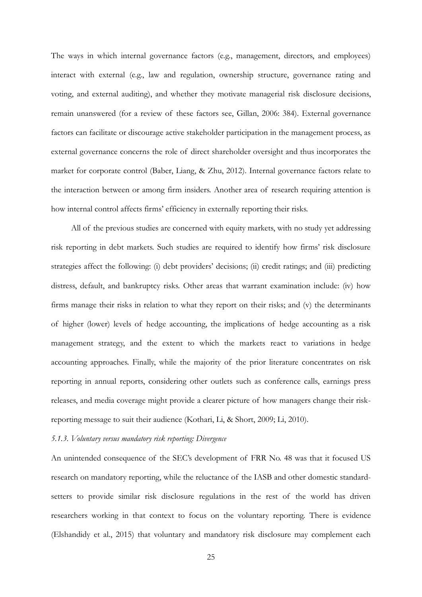The ways in which internal governance factors (e.g., management, directors, and employees) interact with external (e.g., law and regulation, ownership structure, governance rating and voting, and external auditing), and whether they motivate managerial risk disclosure decisions, remain unanswered (for a review of these factors see, Gillan, 2006: 384). External governance factors can facilitate or discourage active stakeholder participation in the management process, as external governance concerns the role of direct shareholder oversight and thus incorporates the market for corporate control (Baber, Liang, & Zhu, 2012). Internal governance factors relate to the interaction between or among firm insiders. Another area of research requiring attention is how internal control affects firms' efficiency in externally reporting their risks.

All of the previous studies are concerned with equity markets, with no study yet addressing risk reporting in debt markets. Such studies are required to identify how firms' risk disclosure strategies affect the following: (i) debt providers' decisions; (ii) credit ratings; and (iii) predicting distress, default, and bankruptcy risks. Other areas that warrant examination include: (iv) how firms manage their risks in relation to what they report on their risks; and (v) the determinants of higher (lower) levels of hedge accounting, the implications of hedge accounting as a risk management strategy, and the extent to which the markets react to variations in hedge accounting approaches. Finally, while the majority of the prior literature concentrates on risk reporting in annual reports, considering other outlets such as conference calls, earnings press releases, and media coverage might provide a clearer picture of how managers change their riskreporting message to suit their audience (Kothari, Li, & Short, 2009; Li, 2010).

## *5.1.3. Voluntary versus mandatory risk reporting: Divergence*

An unintended consequence of the SEC's development of FRR No. 48 was that it focused US research on mandatory reporting, while the reluctance of the IASB and other domestic standardsetters to provide similar risk disclosure regulations in the rest of the world has driven researchers working in that context to focus on the voluntary reporting. There is evidence (Elshandidy et al., 2015) that voluntary and mandatory risk disclosure may complement each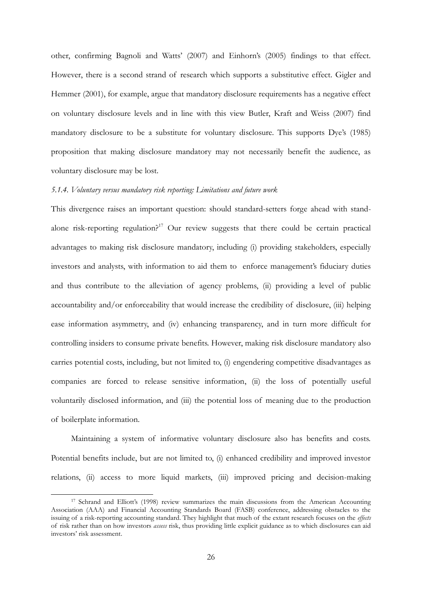other, confirming Bagnoli and Watts' (2007) and Einhorn's (2005) findings to that effect. However, there is a second strand of research which supports a substitutive effect. Gigler and Hemmer (2001), for example, argue that mandatory disclosure requirements has a negative effect on voluntary disclosure levels and in line with this view Butler, Kraft and Weiss (2007) find mandatory disclosure to be a substitute for voluntary disclosure. This supports Dye's (1985) proposition that making disclosure mandatory may not necessarily benefit the audience, as voluntary disclosure may be lost.

## *5.1.4. Voluntary versus mandatory risk reporting: Limitations and future work*

This divergence raises an important question: should standard-setters forge ahead with standalone risk-reporting regulation?<sup>17</sup> Our review suggests that there could be certain practical advantages to making risk disclosure mandatory, including (i) providing stakeholders, especially investors and analysts, with information to aid them to enforce management's fiduciary duties and thus contribute to the alleviation of agency problems, (ii) providing a level of public accountability and/or enforceability that would increase the credibility of disclosure, (iii) helping ease information asymmetry, and (iv) enhancing transparency, and in turn more difficult for controlling insiders to consume private benefits. However, making risk disclosure mandatory also carries potential costs, including, but not limited to, (i) engendering competitive disadvantages as companies are forced to release sensitive information, (ii) the loss of potentially useful voluntarily disclosed information, and (iii) the potential loss of meaning due to the production of boilerplate information.

Maintaining a system of informative voluntary disclosure also has benefits and costs. Potential benefits include, but are not limited to, (i) enhanced credibility and improved investor relations, (ii) access to more liquid markets, (iii) improved pricing and decision-making

<sup>17</sup> Schrand and Elliott's (1998) review summarizes the main discussions from the American Accounting Association (AAA) and Financial Accounting Standards Board (FASB) conference, addressing obstacles to the issuing of a risk-reporting accounting standard. They highlight that much of the extant research focuses on the *effects* of risk rather than on how investors *assess* risk, thus providing little explicit guidance as to which disclosures can aid investors' risk assessment.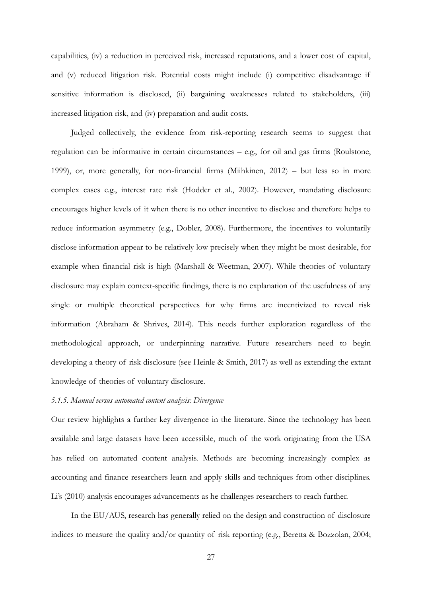capabilities, (iv) a reduction in perceived risk, increased reputations, and a lower cost of capital, and (v) reduced litigation risk. Potential costs might include (i) competitive disadvantage if sensitive information is disclosed, (ii) bargaining weaknesses related to stakeholders, (iii) increased litigation risk, and (iv) preparation and audit costs.

Judged collectively, the evidence from risk-reporting research seems to suggest that regulation can be informative in certain circumstances – e.g., for oil and gas firms (Roulstone, 1999), or, more generally, for non-financial firms (Miihkinen, 2012) – but less so in more complex cases e.g., interest rate risk (Hodder et al., 2002). However, mandating disclosure encourages higher levels of it when there is no other incentive to disclose and therefore helps to reduce information asymmetry (e.g., Dobler, 2008). Furthermore, the incentives to voluntarily disclose information appear to be relatively low precisely when they might be most desirable, for example when financial risk is high (Marshall & Weetman, 2007). While theories of voluntary disclosure may explain context-specific findings, there is no explanation of the usefulness of any single or multiple theoretical perspectives for why firms are incentivized to reveal risk information (Abraham & Shrives, 2014). This needs further exploration regardless of the methodological approach, or underpinning narrative. Future researchers need to begin developing a theory of risk disclosure (see Heinle & Smith, 2017) as well as extending the extant knowledge of theories of voluntary disclosure.

#### *5.1.5. Manual versus automated content analysis: Divergence*

Our review highlights a further key divergence in the literature. Since the technology has been available and large datasets have been accessible, much of the work originating from the USA has relied on automated content analysis. Methods are becoming increasingly complex as accounting and finance researchers learn and apply skills and techniques from other disciplines. Li's (2010) analysis encourages advancements as he challenges researchers to reach further.

In the EU/AUS, research has generally relied on the design and construction of disclosure indices to measure the quality and/or quantity of risk reporting (e.g., Beretta & Bozzolan, 2004;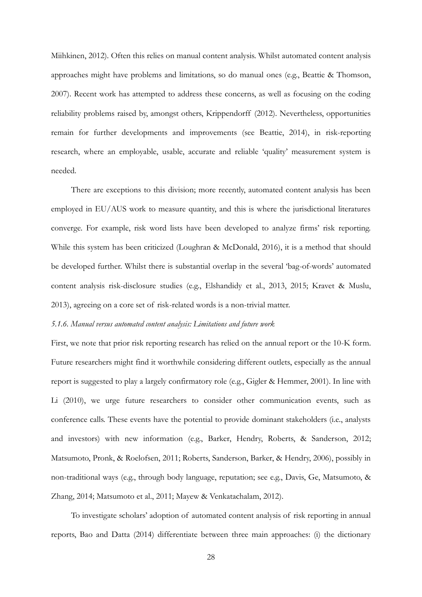Miihkinen, 2012). Often this relies on manual content analysis. Whilst automated content analysis approaches might have problems and limitations, so do manual ones (e.g., Beattie & Thomson, 2007). Recent work has attempted to address these concerns, as well as focusing on the coding reliability problems raised by, amongst others, Krippendorff (2012). Nevertheless, opportunities remain for further developments and improvements (see Beattie, 2014), in risk-reporting research, where an employable, usable, accurate and reliable 'quality' measurement system is needed.

There are exceptions to this division; more recently, automated content analysis has been employed in EU/AUS work to measure quantity, and this is where the jurisdictional literatures converge. For example, risk word lists have been developed to analyze firms' risk reporting. While this system has been criticized (Loughran & McDonald, 2016), it is a method that should be developed further. Whilst there is substantial overlap in the several 'bag-of-words' automated content analysis risk-disclosure studies (e.g., Elshandidy et al., 2013, 2015; Kravet & Muslu, 2013), agreeing on a core set of risk-related words is a non-trivial matter.

## *5.1.6. Manual versus automated content analysis: Limitations and future work*

First, we note that prior risk reporting research has relied on the annual report or the 10-K form. Future researchers might find it worthwhile considering different outlets, especially as the annual report is suggested to play a largely confirmatory role (e.g., Gigler & Hemmer, 2001). In line with Li (2010), we urge future researchers to consider other communication events, such as conference calls. These events have the potential to provide dominant stakeholders (i.e., analysts and investors) with new information (e.g., Barker, Hendry, Roberts, & Sanderson, 2012; Matsumoto, Pronk, & Roelofsen, 2011; Roberts, Sanderson, Barker, & Hendry, 2006), possibly in non-traditional ways (e.g., through body language, reputation; see e.g., Davis, Ge, Matsumoto, & Zhang, 2014; Matsumoto et al., 2011; Mayew & Venkatachalam, 2012).

To investigate scholars' adoption of automated content analysis of risk reporting in annual reports, Bao and Datta (2014) differentiate between three main approaches: (i) the dictionary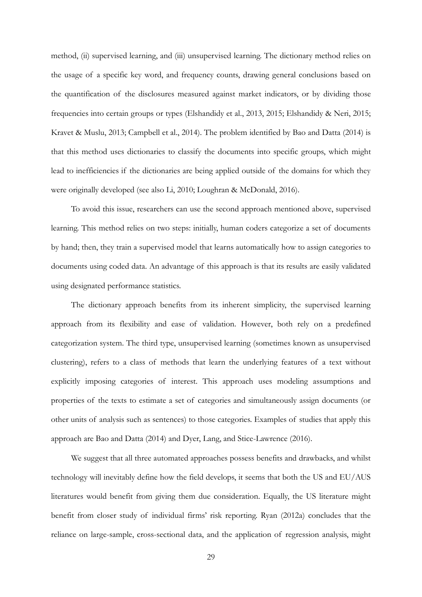method, (ii) supervised learning, and (iii) unsupervised learning. The dictionary method relies on the usage of a specific key word, and frequency counts, drawing general conclusions based on the quantification of the disclosures measured against market indicators, or by dividing those frequencies into certain groups or types (Elshandidy et al., 2013, 2015; Elshandidy & Neri, 2015; Kravet & Muslu, 2013; Campbell et al., 2014). The problem identified by Bao and Datta (2014) is that this method uses dictionaries to classify the documents into specific groups, which might lead to inefficiencies if the dictionaries are being applied outside of the domains for which they were originally developed (see also Li, 2010; Loughran & McDonald, 2016).

To avoid this issue, researchers can use the second approach mentioned above, supervised learning. This method relies on two steps: initially, human coders categorize a set of documents by hand; then, they train a supervised model that learns automatically how to assign categories to documents using coded data. An advantage of this approach is that its results are easily validated using designated performance statistics.

The dictionary approach benefits from its inherent simplicity, the supervised learning approach from its flexibility and ease of validation. However, both rely on a predefined categorization system. The third type, unsupervised learning (sometimes known as unsupervised clustering), refers to a class of methods that learn the underlying features of a text without explicitly imposing categories of interest. This approach uses modeling assumptions and properties of the texts to estimate a set of categories and simultaneously assign documents (or other units of analysis such as sentences) to those categories. Examples of studies that apply this approach are Bao and Datta (2014) and Dyer, Lang, and Stice-Lawrence (2016).

We suggest that all three automated approaches possess benefits and drawbacks, and whilst technology will inevitably define how the field develops, it seems that both the US and EU/AUS literatures would benefit from giving them due consideration. Equally, the US literature might benefit from closer study of individual firms' risk reporting. Ryan (2012a) concludes that the reliance on large-sample, cross-sectional data, and the application of regression analysis, might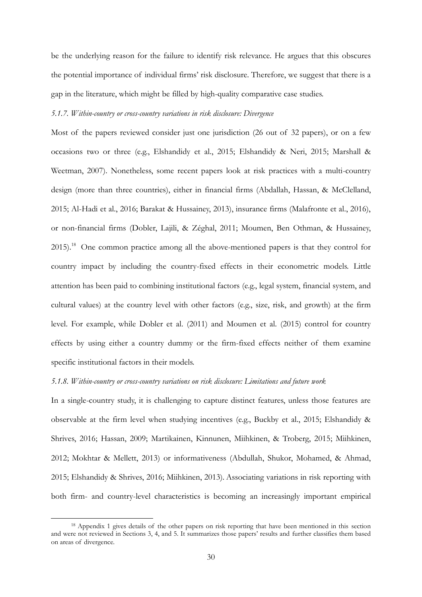be the underlying reason for the failure to identify risk relevance. He argues that this obscures the potential importance of individual firms' risk disclosure. Therefore, we suggest that there is a gap in the literature, which might be filled by high-quality comparative case studies.

#### *5.1.7. Within-country or cross-country variations in risk disclosure: Divergence*

Most of the papers reviewed consider just one jurisdiction (26 out of 32 papers), or on a few occasions two or three (e.g., Elshandidy et al., 2015; Elshandidy & Neri, 2015; Marshall & Weetman, 2007). Nonetheless, some recent papers look at risk practices with a multi-country design (more than three countries), either in financial firms (Abdallah, Hassan, & McClelland, 2015; Al-Hadi et al., 2016; Barakat & Hussainey, 2013), insurance firms (Malafronte et al., 2016), or non-financial firms (Dobler, Lajili, & Zéghal, 2011; Moumen, Ben Othman, & Hussainey, 2015).<sup>18</sup> One common practice among all the above-mentioned papers is that they control for country impact by including the country-fixed effects in their econometric models. Little attention has been paid to combining institutional factors (e.g., legal system, financial system, and cultural values) at the country level with other factors (e.g., size, risk, and growth) at the firm level. For example, while Dobler et al. (2011) and Moumen et al. (2015) control for country effects by using either a country dummy or the firm-fixed effects neither of them examine specific institutional factors in their models.

#### *5.1.8. Within-country or cross-country variations on risk disclosure: Limitations and future work*

In a single-country study, it is challenging to capture distinct features, unless those features are observable at the firm level when studying incentives (e.g., Buckby et al., 2015; Elshandidy & Shrives, 2016; Hassan, 2009; Martikainen, Kinnunen, Miihkinen, & Troberg, 2015; Miihkinen, 2012; Mokhtar & Mellett, 2013) or informativeness (Abdullah, Shukor, Mohamed, & Ahmad, 2015; Elshandidy & Shrives, 2016; Miihkinen, 2013). Associating variations in risk reporting with both firm- and country-level characteristics is becoming an increasingly important empirical

<sup>18</sup> Appendix 1 gives details of the other papers on risk reporting that have been mentioned in this section and were not reviewed in Sections 3, 4, and 5. It summarizes those papers' results and further classifies them based on areas of divergence.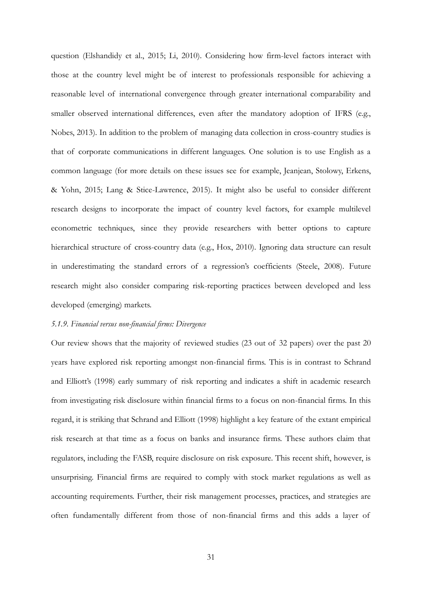question (Elshandidy et al., 2015; Li, 2010). Considering how firm-level factors interact with those at the country level might be of interest to professionals responsible for achieving a reasonable level of international convergence through greater international comparability and smaller observed international differences, even after the mandatory adoption of IFRS (e.g., Nobes, 2013). In addition to the problem of managing data collection in cross-country studies is that of corporate communications in different languages. One solution is to use English as a common language (for more details on these issues see for example, Jeanjean, Stolowy, Erkens, & Yohn, 2015; Lang & Stice-Lawrence, 2015). It might also be useful to consider different research designs to incorporate the impact of country level factors, for example multilevel econometric techniques, since they provide researchers with better options to capture hierarchical structure of cross-country data (e.g., Hox, 2010). Ignoring data structure can result in underestimating the standard errors of a regression's coefficients (Steele, 2008). Future research might also consider comparing risk-reporting practices between developed and less developed (emerging) markets.

#### *5.1.9. Financial versus non-financial firms: Divergence*

Our review shows that the majority of reviewed studies (23 out of 32 papers) over the past 20 years have explored risk reporting amongst non-financial firms. This is in contrast to Schrand and Elliott's (1998) early summary of risk reporting and indicates a shift in academic research from investigating risk disclosure within financial firms to a focus on non-financial firms. In this regard, it is striking that Schrand and Elliott (1998) highlight a key feature of the extant empirical risk research at that time as a focus on banks and insurance firms. These authors claim that regulators, including the FASB, require disclosure on risk exposure. This recent shift, however, is unsurprising. Financial firms are required to comply with stock market regulations as well as accounting requirements. Further, their risk management processes, practices, and strategies are often fundamentally different from those of non-financial firms and this adds a layer of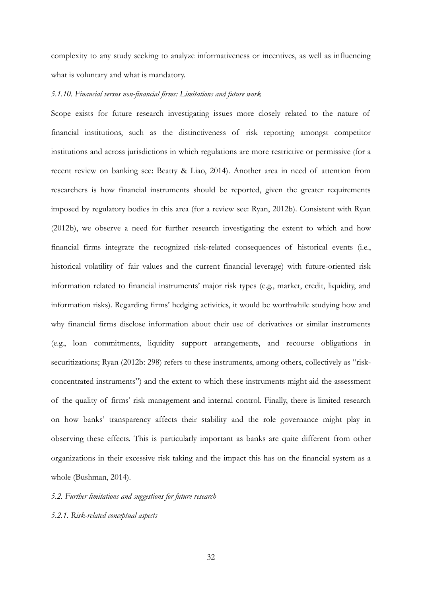complexity to any study seeking to analyze informativeness or incentives, as well as influencing what is voluntary and what is mandatory.

#### *5.1.10. Financial versus non-financial firms: Limitations and future work*

Scope exists for future research investigating issues more closely related to the nature of financial institutions, such as the distinctiveness of risk reporting amongst competitor institutions and across jurisdictions in which regulations are more restrictive or permissive (for a recent review on banking see: Beatty & Liao, 2014). Another area in need of attention from researchers is how financial instruments should be reported, given the greater requirements imposed by regulatory bodies in this area (for a review see: Ryan, 2012b). Consistent with Ryan (2012b), we observe a need for further research investigating the extent to which and how financial firms integrate the recognized risk-related consequences of historical events (i.e., historical volatility of fair values and the current financial leverage) with future-oriented risk information related to financial instruments' major risk types (e.g., market, credit, liquidity, and information risks). Regarding firms' hedging activities, it would be worthwhile studying how and why financial firms disclose information about their use of derivatives or similar instruments (e.g., loan commitments, liquidity support arrangements, and recourse obligations in securitizations; Ryan (2012b: 298) refers to these instruments, among others, collectively as "riskconcentrated instruments") and the extent to which these instruments might aid the assessment of the quality of firms' risk management and internal control. Finally, there is limited research on how banks' transparency affects their stability and the role governance might play in observing these effects. This is particularly important as banks are quite different from other organizations in their excessive risk taking and the impact this has on the financial system as a whole (Bushman, 2014).

*5.2. Further limitations and suggestions for future research*

# *5.2.1. Risk-related conceptual aspects*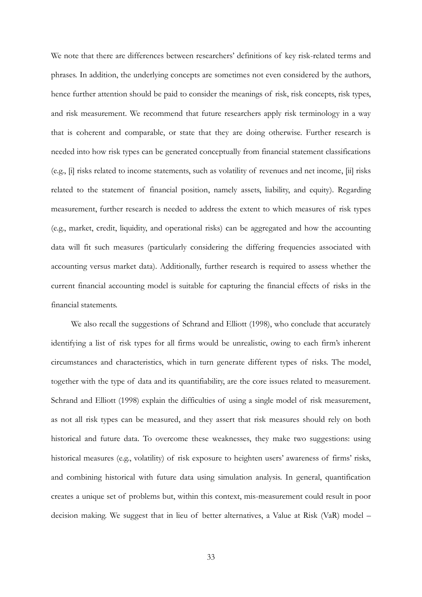We note that there are differences between researchers' definitions of key risk-related terms and phrases. In addition, the underlying concepts are sometimes not even considered by the authors, hence further attention should be paid to consider the meanings of risk, risk concepts, risk types, and risk measurement. We recommend that future researchers apply risk terminology in a way that is coherent and comparable, or state that they are doing otherwise. Further research is needed into how risk types can be generated conceptually from financial statement classifications (e.g., [i] risks related to income statements, such as volatility of revenues and net income, [ii] risks related to the statement of financial position, namely assets, liability, and equity). Regarding measurement, further research is needed to address the extent to which measures of risk types (e.g., market, credit, liquidity, and operational risks) can be aggregated and how the accounting data will fit such measures (particularly considering the differing frequencies associated with accounting versus market data). Additionally, further research is required to assess whether the current financial accounting model is suitable for capturing the financial effects of risks in the financial statements.

We also recall the suggestions of Schrand and Elliott (1998), who conclude that accurately identifying a list of risk types for all firms would be unrealistic, owing to each firm's inherent circumstances and characteristics, which in turn generate different types of risks. The model, together with the type of data and its quantifiability, are the core issues related to measurement. Schrand and Elliott (1998) explain the difficulties of using a single model of risk measurement, as not all risk types can be measured, and they assert that risk measures should rely on both historical and future data. To overcome these weaknesses, they make two suggestions: using historical measures (e.g., volatility) of risk exposure to heighten users' awareness of firms' risks, and combining historical with future data using simulation analysis. In general, quantification creates a unique set of problems but, within this context, mis-measurement could result in poor decision making. We suggest that in lieu of better alternatives, a Value at Risk (VaR) model –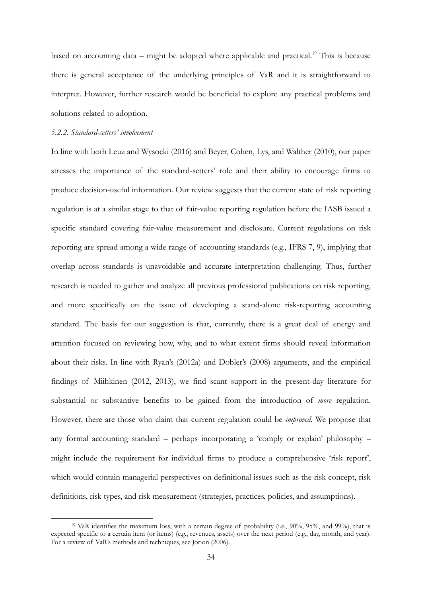based on accounting data – might be adopted where applicable and practical.<sup>19</sup> This is because there is general acceptance of the underlying principles of VaR and it is straightforward to interpret. However, further research would be beneficial to explore any practical problems and solutions related to adoption.

# *5.2.2. Standard-setters' involvement*

-

In line with both Leuz and Wysocki (2016) and Beyer, Cohen, Lys, and Walther (2010), our paper stresses the importance of the standard-setters' role and their ability to encourage firms to produce decision-useful information. Our review suggests that the current state of risk reporting regulation is at a similar stage to that of fair-value reporting regulation before the IASB issued a specific standard covering fair-value measurement and disclosure. Current regulations on risk reporting are spread among a wide range of accounting standards (e.g., IFRS 7, 9), implying that overlap across standards is unavoidable and accurate interpretation challenging. Thus, further research is needed to gather and analyze all previous professional publications on risk reporting, and more specifically on the issue of developing a stand-alone risk-reporting accounting standard. The basis for our suggestion is that, currently, there is a great deal of energy and attention focused on reviewing how, why, and to what extent firms should reveal information about their risks. In line with Ryan's (2012a) and Dobler's (2008) arguments, and the empirical findings of Miihkinen (2012, 2013), we find scant support in the present-day literature for substantial or substantive benefits to be gained from the introduction of *more* regulation. However, there are those who claim that current regulation could be *improved.* We propose that any formal accounting standard – perhaps incorporating a 'comply or explain' philosophy – might include the requirement for individual firms to produce a comprehensive 'risk report', which would contain managerial perspectives on definitional issues such as the risk concept, risk definitions, risk types, and risk measurement (strategies, practices, policies, and assumptions).

<sup>&</sup>lt;sup>19</sup> VaR identifies the maximum loss, with a certain degree of probability (i.e., 90%, 95%, and 99%), that is expected specific to a certain item (or items) (e.g., revenues, assets) over the next period (e.g., day, month, and year). For a review of VaR's methods and techniques, see Jorion (2006).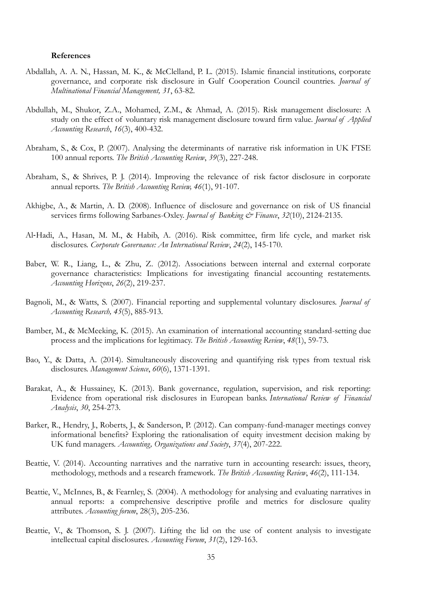#### **References**

- Abdallah, A. A. N., Hassan, M. K., & McClelland, P. L. (2015). Islamic financial institutions, corporate governance, and corporate risk disclosure in Gulf Cooperation Council countries. *Journal of Multinational Financial Management, 31*, 63-82.
- Abdullah, M., Shukor, Z.A., Mohamed, Z.M., & Ahmad, A. (2015). Risk management disclosure: A study on the effect of voluntary risk management disclosure toward firm value. *Journal of Applied Accounting Research*, *16*(3), 400-432.
- Abraham, S., & Cox, P. (2007). Analysing the determinants of narrative risk information in UK FTSE 100 annual reports. *The British Accounting Review*, *39*(3), 227-248.
- Abraham, S., & Shrives, P. J. (2014). Improving the relevance of risk factor disclosure in corporate annual reports. *The British Accounting Review, 46*(1), 91-107.
- Akhigbe, A., & Martin, A. D. (2008). Influence of disclosure and governance on risk of US financial services firms following Sarbanes-Oxley. *Journal of Banking & Finance*, 32(10), 2124-2135.
- Al‐Hadi, A., Hasan, M. M., & Habib, A. (2016). Risk committee, firm life cycle, and market risk disclosures. *Corporate Governance: An International Review*, *24*(2), 145-170.
- Baber, W. R., Liang, L., & Zhu, Z. (2012). Associations between internal and external corporate governance characteristics: Implications for investigating financial accounting restatements. *Accounting Horizons*, *26*(2), 219-237.
- Bagnoli, M., & Watts, S. (2007). Financial reporting and supplemental voluntary disclosures. *Journal of Accounting Research, 45*(5), 885-913.
- Bamber, M., & McMeeking, K. (2015). An examination of international accounting standard-setting due process and the implications for legitimacy. *The British Accounting Review*, *48*(1), 59-73.
- Bao, Y., & Datta, A. (2014). Simultaneously discovering and quantifying risk types from textual risk disclosures. *Management Science*, *60*(6), 1371-1391.
- Barakat, A., & Hussainey, K. (2013). Bank governance, regulation, supervision, and risk reporting: Evidence from operational risk disclosures in European banks. *International Review of Financial Analysis*, *30*, 254-273.
- Barker, R., Hendry, J., Roberts, J., & Sanderson, P. (2012). Can company-fund-manager meetings convey informational benefits? Exploring the rationalisation of equity investment decision making by UK fund managers. *Accounting, Organizations and Society*, *37*(4), 207-222.
- Beattie, V. (2014). Accounting narratives and the narrative turn in accounting research: issues, theory, methodology, methods and a research framework. *The British Accounting Review*, *46*(2), 111-134.
- Beattie, V., McInnes, B., & Fearnley, S. (2004). A methodology for analysing and evaluating narratives in annual reports: a comprehensive descriptive profile and metrics for disclosure quality attributes. *Accounting forum*, 28(3), 205-236.
- Beattie, V., & Thomson, S. J. (2007). Lifting the lid on the use of content analysis to investigate intellectual capital disclosures. *Accounting Forum*, *31*(2), 129-163.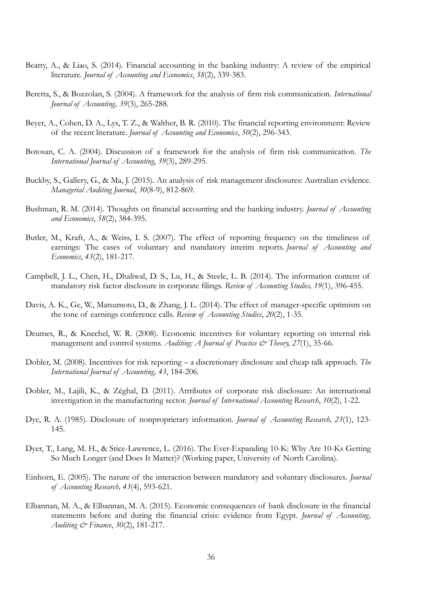- Beatty, A., & Liao, S. (2014). Financial accounting in the banking industry: A review of the empirical literature. *Journal of Accounting and Economics*, *58*(2), 339-383.
- Beretta, S., & Bozzolan, S. (2004). A framework for the analysis of firm risk communication. *International Journal of Accounting, 39*(3), 265-288.
- Beyer, A., Cohen, D. A., Lys, T. Z., & Walther, B. R. (2010). The financial reporting environment: Review of the recent literature. *Journal of Accounting and Economics*, *50*(2), 296-343.
- Botosan, C. A. (2004). Discussion of a framework for the analysis of firm risk communication. *The International Journal of Accounting*, *39*(3), 289-295.
- Buckby, S., Gallery, G., & Ma, J. (2015). An analysis of risk management disclosures: Australian evidence. *Managerial Auditing Journal*, *30*(8-9), 812-869.
- Bushman, R. M. (2014). Thoughts on financial accounting and the banking industry. *Journal of Accounting and Economics*, *58*(2), 384-395.
- Butler, M., Kraft, A., & Weiss, I. S. (2007). The effect of reporting frequency on the timeliness of earnings: The cases of voluntary and mandatory interim reports. *Journal of Accounting and Economics*, *43*(2), 181-217.
- Campbell, J. L., Chen, H., Dhaliwal, D. S., Lu, H., & Steele, L. B. (2014). The information content of mandatory risk factor disclosure in corporate filings. *Review of Accounting Studies, 19*(1), 396-455.
- Davis, A. K., Ge, W., Matsumoto, D., & Zhang, J. L. (2014). The effect of manager-specific optimism on the tone of earnings conference calls. *Review of Accounting Studies*, *20*(2), 1-35.
- Deumes, R., & Knechel, W. R. (2008). Economic incentives for voluntary reporting on internal risk management and control systems. *Auditing: A Journal of Practice & Theory, 27(1), 35-66.*
- Dobler, M. (2008). Incentives for risk reporting a discretionary disclosure and cheap talk approach. *The International Journal of Accounting, 43*, 184-206.
- Dobler, M., Lajili, K., & Zéghal, D. (2011). Attributes of corporate risk disclosure: An international investigation in the manufacturing sector. *Journal of International Accounting Research*, *10*(2), 1-22.
- Dye, R. A. (1985). Disclosure of nonproprietary information*. Journal of Accounting Research, 23*(1), 123- 145.
- Dyer, T., Lang, M. H., & Stice-Lawrence, L. (2016). The Ever-Expanding 10-K: Why Are 10-Ks Getting So Much Longer (and Does It Matter)? (Working paper, University of North Carolina).
- Einhorn, E. (2005). The nature of the interaction between mandatory and voluntary disclosures*. Journal of Accounting Research, 43*(4), 593-621.
- Elbannan, M. A., & Elbannan, M. A. (2015). Economic consequences of bank disclosure in the financial statements before and during the financial crisis: evidence from Egypt. *Journal of Accounting, Auditing & Finance*, *30*(2), 181-217.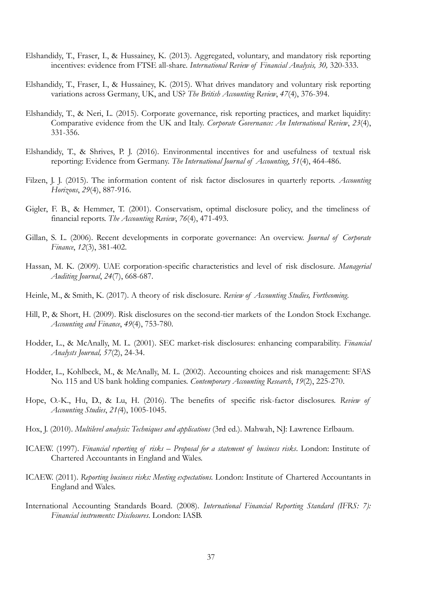- Elshandidy, T., Fraser, I., & Hussainey, K. (2013). Aggregated, voluntary, and mandatory risk reporting incentives: evidence from FTSE all-share. *International Review of Financial Analysis, 30,* 320-333.
- Elshandidy, T., Fraser, I., & Hussainey, K. (2015). What drives mandatory and voluntary risk reporting variations across Germany, UK, and US? *The British Accounting Review*, *47*(4), 376-394.
- Elshandidy, T., & Neri, L. (2015). Corporate governance, risk reporting practices, and market liquidity: Comparative evidence from the UK and Italy. *Corporate Governance: An International Review*, *23*(4), 331-356.
- Elshandidy, T., & Shrives, P. J. (2016). Environmental incentives for and usefulness of textual risk reporting: Evidence from Germany. *The International Journal of Accounting*, *51*(4), 464-486.
- Filzen, J. J. (2015). The information content of risk factor disclosures in quarterly reports. *Accounting Horizons*, *29*(4), 887-916.
- Gigler, F. B., & Hemmer, T. (2001). Conservatism, optimal disclosure policy, and the timeliness of financial reports. *The Accounting Review*, *76*(4), 471-493.
- Gillan, S. L. (2006). Recent developments in corporate governance: An overview. *Journal of Corporate Finance*, *12*(3), 381-402.
- Hassan, M. K. (2009). UAE corporation-specific characteristics and level of risk disclosure. *Managerial Auditing Journal*, *24*(7), 668-687.
- Heinle, M., & Smith, K. (2017). A theory of risk disclosure*. Review of Accounting Studies, Forthcoming.*
- Hill, P., & Short, H. (2009). Risk disclosures on the second-tier markets of the London Stock Exchange. *Accounting and Finance*, *49*(4), 753-780.
- Hodder, L., & McAnally, M. L. (2001). SEC market-risk disclosures: enhancing comparability. *Financial Analysts Journal, 57*(2), 24-34.
- Hodder, L., Kohlbeck, M., & McAnally, M. L. (2002). Accounting choices and risk management: SFAS No. 115 and US bank holding companies. *Contemporary Accounting Research*, *19*(2), 225-270.
- Hope, O.-K., Hu, D., & Lu, H. (2016). The benefits of specific risk-factor disclosures. *Review of Accounting Studies*, *21(*4), 1005-1045.
- Hox, J. (2010). *Multilevel analysis: Techniques and applications* (3rd ed.). Mahwah, NJ: Lawrence Erlbaum.
- ICAEW. (1997). *Financial reporting of risks – Proposal for a statement of business risks*. London: Institute of Chartered Accountants in England and Wales.
- ICAEW. (2011). *Reporting business risks: Meeting expectations.* London: Institute of Chartered Accountants in England and Wales.
- International Accounting Standards Board. (2008). *International Financial Reporting Standard (IFRS: 7): Financial instruments: Disclosures*. London: IASB.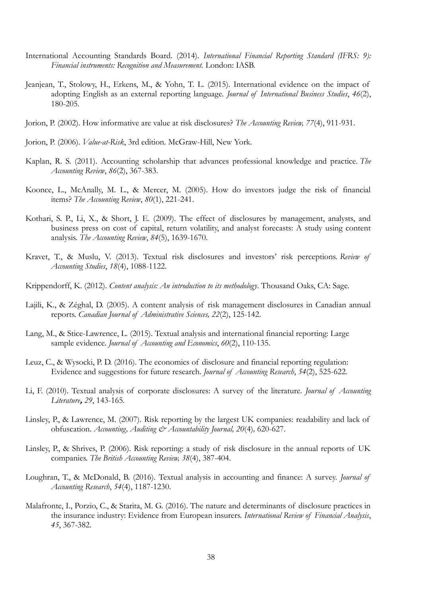- International Accounting Standards Board. (2014). *International Financial Reporting Standard (IFRS: 9): Financial instruments: Recognition and Measurement.* London: IASB.
- Jeanjean, T., Stolowy, H., Erkens, M., & Yohn, T. L. (2015). International evidence on the impact of adopting English as an external reporting language. *Journal of International Business Studies*, *46*(2), 180-205.
- Jorion, P. (2002). How informative are value at risk disclosures? *The Accounting Review, 77*(4), 911-931.
- Jorion, P. (2006). *Value-at-Risk*, 3rd edition. McGraw-Hill, New York.
- Kaplan, R. S. (2011). Accounting scholarship that advances professional knowledge and practice. *The Accounting Review*, *86*(2), 367-383.
- Koonce, L., McAnally, M. L., & Mercer, M. (2005). How do investors judge the risk of financial items? *The Accounting Review*, *80*(1), 221-241.
- Kothari, S. P., Li, X., & Short, J. E. (2009). The effect of disclosures by management, analysts, and business press on cost of capital, return volatility, and analyst forecasts: A study using content analysis. *The Accounting Review*, *84*(5), 1639-1670.
- Kravet, T., & Muslu, V. (2013). Textual risk disclosures and investors' risk perceptions. *Review of Accounting Studies*, *18*(4), 1088-1122.
- Krippendorff, K. (2012). *Content analysis: An introduction to its methodology*. Thousand Oaks, CA: Sage.
- Lajili, K., & Zéghal, D. (2005). A content analysis of risk management disclosures in Canadian annual reports. *Canadian Journal of Administrative Sciences, 22*(2), 125-142.
- Lang, M., & Stice-Lawrence, L. (2015). Textual analysis and international financial reporting: Large sample evidence. *Journal of Accounting and Economics*, *60*(2), 110-135.
- Leuz, C., & Wysocki, P. D. (2016). The economics of disclosure and financial reporting regulation: Evidence and suggestions for future research. *Journal of Accounting Research*, *54*(2), 525-622.
- Li, F. (2010). Textual analysis of corporate disclosures: A survey of the literature. *Journal of Accounting Literature***,** *29*, 143-165*.*
- Linsley, P., & Lawrence, M. (2007). Risk reporting by the largest UK companies: readability and lack of obfuscation. *Accounting, Auditing & Accountability Journal, 20*(4)*,* 620-627.
- Linsley, P., & Shrives, P. (2006). Risk reporting: a study of risk disclosure in the annual reports of UK companies. *The British Accounting Review, 38*(4), 387-404.
- Loughran, T., & McDonald, B. (2016). Textual analysis in accounting and finance: A survey. *Journal of Accounting Research*, *54*(4), 1187-1230.
- Malafronte, I., Porzio, C., & Starita, M. G. (2016). The nature and determinants of disclosure practices in the insurance industry: Evidence from European insurers. *International Review of Financial Analysis*, *45*, 367-382.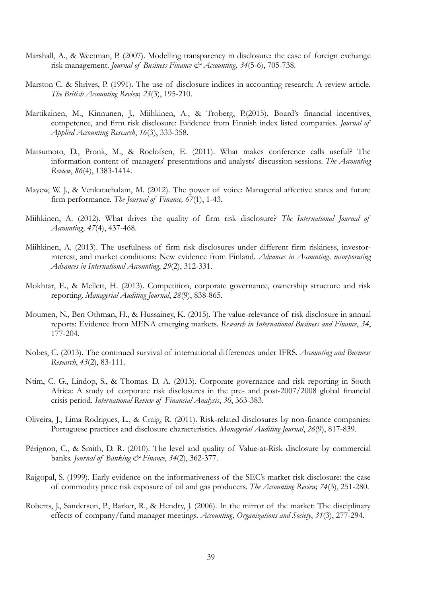- Marshall, A., & Weetman, P. (2007). Modelling transparency in disclosure: the case of foreign exchange risk management. *Journal of Business Finance & Accounting, 34*(5-6), 705-738.
- Marston C. & Shrives, P. (1991). The use of disclosure indices in accounting research: A review article. *The British Accounting Review, 23*(3), 195-210.
- Martikainen, M., Kinnunen, J., Miihkinen, A., & Troberg, P.(2015). Board's financial incentives, competence, and firm risk disclosure: Evidence from Finnish index listed companies. *Journal of Applied Accounting Research*, *16*(3), 333-358.
- Matsumoto, D., Pronk, M., & Roelofsen, E. (2011). What makes conference calls useful? The information content of managers' presentations and analysts' discussion sessions. *The Accounting Review*, *86*(4), 1383-1414.
- Mayew, W. J., & Venkatachalam, M. (2012). The power of voice: Managerial affective states and future firm performance. *The Journal of Finance, 67*(1), 1-43.
- Miihkinen, A. (2012). What drives the quality of firm risk disclosure? *The International Journal of Accounting, 47*(4), 437-468.
- Miihkinen, A. (2013). The usefulness of firm risk disclosures under different firm riskiness, investorinterest, and market conditions: New evidence from Finland. *Advances in Accounting, incorporating Advances in International Accounting*, *29*(2), 312-331.
- Mokhtar, E., & Mellett, H. (2013). Competition, corporate governance, ownership structure and risk reporting. *Managerial Auditing Journal*, *28*(9), 838-865.
- Moumen, N., Ben Othman, H., & Hussainey, K. (2015). The value-relevance of risk disclosure in annual reports: Evidence from MENA emerging markets. *Research in International Business and Finance*, *34*, 177-204.
- Nobes, C. (2013). The continued survival of international differences under IFRS. *Accounting and Business Research*, *43*(2), 83-111.
- Ntim, C. G., Lindop, S., & Thomas. D. A. (2013). Corporate governance and risk reporting in South Africa: A study of corporate risk disclosures in the pre- and post-2007/2008 global financial crisis period. *International Review of Financial Analysis*, *30*, 363-383.
- Oliveira, J., Lima Rodrigues, L., & Craig, R. (2011). Risk-related disclosures by non-finance companies: Portuguese practices and disclosure characteristics. *Managerial Auditing Journal*, *26*(9), 817-839.
- Pérignon, C., & Smith, D. R. (2010). The level and quality of Value-at-Risk disclosure by commercial banks. *Journal of Banking & Finance*, *34*(2), 362-377.
- Rajgopal, S. (1999). Early evidence on the informativeness of the SEC's market risk disclosure: the case of commodity price risk exposure of oil and gas producers. *The Accounting Review, 74*(3), 251-280.
- Roberts, J., Sanderson, P., Barker, R., & Hendry, J. (2006). In the mirror of the market: The disciplinary effects of company/fund manager meetings. *Accounting, Organizations and Society*, *31*(3), 277-294.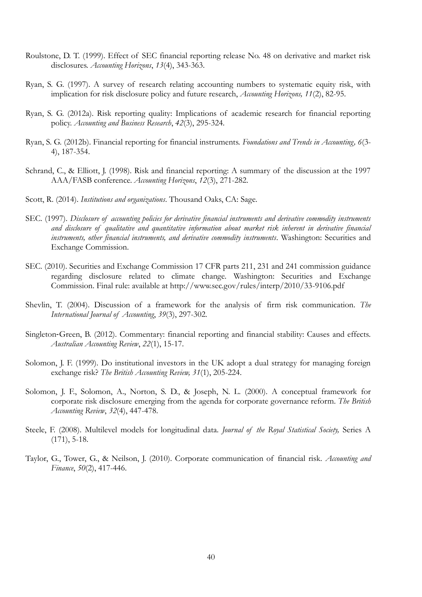- Roulstone, D. T. (1999). Effect of SEC financial reporting release No. 48 on derivative and market risk disclosures. *Accounting Horizons*, *13*(4), 343-363.
- Ryan, S. G. (1997). A survey of research relating accounting numbers to systematic equity risk, with implication for risk disclosure policy and future research, *Accounting Horizons, 11*(2), 82-95.
- Ryan, S. G. (2012a). Risk reporting quality: Implications of academic research for financial reporting policy. *Accounting and Business Research*, *42*(3), 295-324.
- Ryan, S. G. (2012b). Financial reporting for financial instruments. *Foundations and Trends in Accounting, 6*(3- 4), 187-354.
- Schrand, C., & Elliott, J. (1998). Risk and financial reporting: A summary of the discussion at the 1997 AAA/FASB conference. *Accounting Horizons*, *12*(3), 271-282.
- Scott, R. (2014). *Institutions and organizations*. Thousand Oaks, CA: Sage.
- SEC. (1997). *Disclosure of accounting policies for derivative financial instruments and derivative commodity instruments and disclosure of qualitative and quantitative information about market risk inherent in derivative financial instruments, other financial instruments, and derivative commodity instruments*. Washington: Securities and Exchange Commission.
- SEC. (2010). Securities and Exchange Commission 17 CFR parts 211, 231 and 241 commission guidance regarding disclosure related to climate change. Washington: Securities and Exchange Commission. Final rule: available at http://www.sec.gov/rules/interp/2010/33-9106.pdf
- Shevlin, T. (2004). Discussion of a framework for the analysis of firm risk communication. *The International Journal of Accounting*, *39*(3), 297-302.
- Singleton-Green, B. (2012). Commentary: financial reporting and financial stability: Causes and effects. *Australian Accounting Review*, *22*(1), 15-17.
- Solomon, J. F. (1999). Do institutional investors in the UK adopt a dual strategy for managing foreign exchange risk? *The British Accounting Review, 31*(1), 205-224.
- Solomon, J. F., Solomon, A., Norton, S. D., & Joseph, N. L. (2000). A conceptual framework for corporate risk disclosure emerging from the agenda for corporate governance reform. *The British Accounting Review*, *32*(4), 447-478.
- Steele, F. (2008). Multilevel models for longitudinal data. *Journal of the Royal Statistical Society,* Series A (171), 5-18.
- Taylor, G., Tower, G., & Neilson, J. (2010). Corporate communication of financial risk. *Accounting and Finance*, *50*(2), 417-446.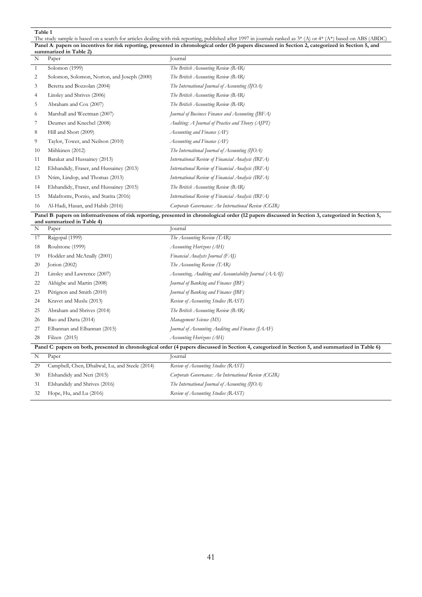The study sample is based on a search for articles dealing with risk reporting, published after 1997 in journals ranked as 3\* (A) or 4\* (A\*) based on ABS (ABDC) **Panel A**: **papers on incentives for risk reporting, presented in chronological order (16 papers discussed in Section 2, categorized in Section 5, and** 

|                | summarized in Table 2)                      |                                                      |
|----------------|---------------------------------------------|------------------------------------------------------|
| N              | Paper                                       | Journal                                              |
| 1              | Solomon (1999)                              | The British Accounting Review (BAR)                  |
| 2              | Solomon, Solomon, Norton, and Joseph (2000) | The British Accounting Review (BAR)                  |
| $\mathfrak{Z}$ | Beretta and Bozzolan (2004)                 | The International Journal of Accounting (IJOA)       |
| 4              | Linsley and Shrives (2006)                  | The British Accounting Review (BAR)                  |
| 5              | Abraham and Cox (2007)                      | The British Accounting Review (BAR)                  |
| 6              | Marshall and Weetman (2007)                 | Journal of Business Finance and Accounting (JBFA)    |
| 7              | Deumes and Knechel (2008)                   | Auditing: A Journal of Practice and Theory (AJPT)    |
| 8              | Hill and Short (2009)                       | Accounting and Finance (AF)                          |
| 9              | Taylor, Tower, and Neilson (2010)           | Accounting and Finance (AF)                          |
| 10             | Miihkinen (2012)                            | The International Journal of Accounting (IJOA)       |
| 11             | Barakat and Hussainey (2013)                | International Review of Financial Analysis (IRFA)    |
| 12             | Elshandidy, Fraser, and Hussainey (2013)    | International Review of Financial Analysis (IRFA)    |
| 13             | Ntim, Lindop, and Thomas (2013)             | International Review of Financial Analysis (IRFA)    |
| 14             | Elshandidy, Fraser, and Hussainey (2015)    | The British Accounting Review (BAR)                  |
| 15             | Malafronte, Porzio, and Starita (2016)      | International Review of Financial Analysis (IRFA)    |
| 16             | Al-Hadi, Hasan, and Habib (2016)            | Corporate Governance: An International Review (CGIR) |

Panel B: papers on informativeness of risk reporting, presented in chronological order (12 papers discussed in Section 3, categorized in Section 5, **and summarized in Table 4)** 

| N  | Paper                                           | Journal                                                                                                                                          |
|----|-------------------------------------------------|--------------------------------------------------------------------------------------------------------------------------------------------------|
| 17 | Rajgopal (1999)                                 | The Accounting Review (TAR)                                                                                                                      |
| 18 | Roulstone (1999)                                | Accounting Horizons (AH)                                                                                                                         |
| 19 | Hodder and McAnally (2001)                      | Financial Analysts Journal (FAJ)                                                                                                                 |
| 20 | Jorion $(2002)$                                 | The Accounting Review (TAR)                                                                                                                      |
| 21 | Linsley and Lawrence (2007)                     | Accounting, Auditing and Accountability Journal (AAAJ)                                                                                           |
| 22 | Akhigbe and Martin (2008)                       | Journal of Banking and Finance (JBF)                                                                                                             |
| 23 | Pérignon and Smith (2010)                       | Journal of Banking and Finance (JBF)                                                                                                             |
| 24 | Kravet and Muslu (2013)                         | Review of Accounting Studies (RAST)                                                                                                              |
| 25 | Abraham and Shrives (2014)                      | The British Accounting Review (BAR)                                                                                                              |
| 26 | Bao and Datta (2014)                            | Management Science (MS)                                                                                                                          |
| 27 | Elbannan and Elbannan (2015)                    | Journal of Accounting Auditing and Finance (JAAF)                                                                                                |
| 28 | Filzen $(2015)$                                 | Accounting Horizons (AH)                                                                                                                         |
|    |                                                 | Panel C: papers on both, presented in chronological order (4 papers discussed in Section 4, categorized in Section 5, and summarized in Table 6) |
| N  | Paper                                           | Journal                                                                                                                                          |
| 29 | Campbell, Chen, Dhaliwal, Lu, and Steele (2014) | Review of Accounting Studies (RAST)                                                                                                              |
| 30 | Elshandidy and Neri (2015)                      | Corporate Governance: An International Review (CGIR)                                                                                             |
| 31 | Elshandidy and Shrives (2016)                   | The International Journal of Accounting (IJOA)                                                                                                   |
| 32 | Hope, Hu, and Lu (2016)                         | Review of Accounting Studies (RAST)                                                                                                              |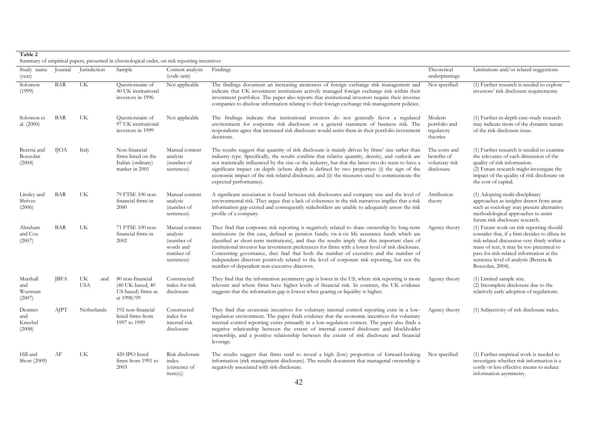#### **Table 2**

Summary of empirical papers, presented in chronological order, on risk reporting incentives

|                                      | .           | $\sim$ 1                |                                                                              | $\mathbf{r}$                                                                     |                                                                                                                                                                                                                                                                                                                                                                                                                                                                                                                                                                                                                                                    |                                                              |                                                                                                                                                                                                                                                                                                 |
|--------------------------------------|-------------|-------------------------|------------------------------------------------------------------------------|----------------------------------------------------------------------------------|----------------------------------------------------------------------------------------------------------------------------------------------------------------------------------------------------------------------------------------------------------------------------------------------------------------------------------------------------------------------------------------------------------------------------------------------------------------------------------------------------------------------------------------------------------------------------------------------------------------------------------------------------|--------------------------------------------------------------|-------------------------------------------------------------------------------------------------------------------------------------------------------------------------------------------------------------------------------------------------------------------------------------------------|
| Study name<br>(year)                 | Journal     | Jurisdiction            | Sample                                                                       | Content analysis<br>(code unit)                                                  | Findings                                                                                                                                                                                                                                                                                                                                                                                                                                                                                                                                                                                                                                           | Theoretical<br>underpinnings                                 | Limitations and/or related suggestions                                                                                                                                                                                                                                                          |
| Solomon<br>(1999)                    | <b>BAR</b>  | UK                      | Questionnaire of<br>40 UK institutional<br>investors in 1996                 | Not applicable                                                                   | The findings document an increasing awareness of foreign exchange risk management and<br>indicate that UK investment institutions actively managed foreign exchange risk within their<br>investment portfolios. The paper also reports that institutional investors require their investee<br>companies to disclose information relating to their foreign exchange risk management policies.                                                                                                                                                                                                                                                       | Not specified                                                | (1) Further research is needed to explore<br>investors' risk disclosure requirements.                                                                                                                                                                                                           |
| Solomon et<br>al. (2000)             | BAR         | UK.                     | Questionnaire of<br>97 UK institutional<br>investors in 1999                 | Not applicable                                                                   | The findings indicate that institutional investors do not generally favor a regulated<br>environment for corporate risk disclosure or a general statement of business risk. The<br>respondents agree that increased risk disclosure would assist them in their portfolio investment<br>decisions.                                                                                                                                                                                                                                                                                                                                                  | Modern<br>portfolio and<br>regulatory<br>theories            | (1) Further in-depth case-study research<br>may indicate more of the dynamic nature<br>of the risk disclosure issue.                                                                                                                                                                            |
| Beretta and<br>Bozzolan<br>(2004)    | <b>IJOA</b> | Italy                   | Non-financial<br>firms listed on the<br>Italian (ordinary)<br>market in 2001 | Manual content<br>analysis<br>(number of<br>sentences)                           | The results suggest that quantity of risk disclosure is mainly driven by firms' size rather than<br>industry type. Specifically, the results confirm that relative quantity, density, and outlook are<br>not statistically influenced by the size or the industry, but that the latter two do seem to have a<br>significant impact on depth (where depth is defined by two properties: (i) the sign of the<br>economic impact of the risk-related disclosure; and (ii) the measures used to communicate the<br>expected performance).                                                                                                              | The costs and<br>benefits of<br>voluntary risk<br>disclosure | (1) Further research is needed to examine<br>the relevance of each dimension of the<br>quality of risk information.<br>(2) Future research might investigate the<br>impact of the quality of risk disclosure on<br>the cost of capital.                                                         |
| Linsley and<br>Shrives<br>(2006)     | BAR         | UK                      | 79 FTSE 100 non-<br>financial firms in<br>2000                               | Manual content<br>analysis<br>(number of<br>sentences)                           | A significant association is found between risk disclosures and company size and the level of<br>environmental risk. They argue that a lack of coherence in the risk narratives implies that a risk<br>information gap existed and consequently stakeholders are unable to adequately assess the risk<br>profile of a company.                                                                                                                                                                                                                                                                                                                     | Attribution<br>theory                                        | (1) Adopting multi-disciplinary<br>approaches as insights drawn from areas<br>such as sociology may present alternative<br>methodological approaches to assist<br>future risk disclosure research.                                                                                              |
| Abraham<br>and Cox<br>(2007)         | BAR         | UK                      | 71 FTSE 100 non-<br>financial firms in<br>2002                               | Manual content<br>analysis<br>(number of<br>words and<br>number of<br>sentences) | They find that corporate risk reporting is negatively related to share ownership by long-term<br>institutions (in this case, defined as pension funds; vis-à-vis life assurance funds which are<br>classified as short-term institutions), and thus the results imply that this important class of<br>institutional investor has investment preferences for firms with a lower level of risk disclosure.<br>Concerning governance, they find that both the number of executive and the number of<br>independent directors positively related to the level of corporate risk reporting, but not the<br>number of dependent non-executive directors. | Agency theory                                                | (1) Future work on risk reporting should<br>consider that, if a firm decides to dilute its<br>risk-related discussion very thinly within a<br>mass of text, it may be too piecemeal to<br>pass for risk-related information at the<br>sentence level of analysis (Beretta &<br>Bozzolan, 2004). |
| Marshall<br>and<br>Weetman<br>(2007) | <b>JBFA</b> | UK<br>and<br><b>USA</b> | 80 non-financial<br>(40 UK-based, 40<br>US-based) firms as<br>at 1998/99     | Constructed<br>index for risk<br>disclosure                                      | They find that the information asymmetry gap is lower in the US, where risk reporting is more<br>relevant and where firms have higher levels of financial risk. In contrast, the UK evidence<br>suggests that the information gap is lowest when gearing or liquidity is higher.                                                                                                                                                                                                                                                                                                                                                                   | Agency theory                                                | (1) Limited sample size.<br>(2) Incomplete disclosure due to the<br>relatively early adoption of regulations.                                                                                                                                                                                   |
| Deumes<br>and<br>Knechel<br>(2008)   | AJPT        | Netherlands             | 192 non-financial<br>listed firms from<br>1997 to 1999                       | Constructed<br>index for<br>internal risk<br>disclosure                          | They find that economic incentives for voluntary internal control reporting exist in a low-<br>regulation environment. The paper finds evidence that the economic incentives for voluntary<br>internal control reporting exists primarily in a low-regulation context. The paper also finds a<br>negative relationship between the extent of internal control disclosure and blockholder<br>ownership, and a positive relationship between the extent of risk disclosure and financial<br>leverage.                                                                                                                                                | Agency theory                                                | (1) Subjectivity of risk disclosure index.                                                                                                                                                                                                                                                      |
| Hill and<br>Short (2009)             | AF          | UK                      | 420 IPO listed<br>firms from 1991 to<br>2003                                 | Risk disclosure<br>index<br>(existence of<br>item(s))                            | The results suggest that firms tend to reveal a high (low) proportion of forward-looking<br>information (risk management disclosure). The results document that managerial ownership is<br>negatively associated with risk disclosure.                                                                                                                                                                                                                                                                                                                                                                                                             | Not specified                                                | (1) Further empirical work is needed to<br>investigate whether risk information is a<br>costly or less effective means to reduce<br>information asymmetry.                                                                                                                                      |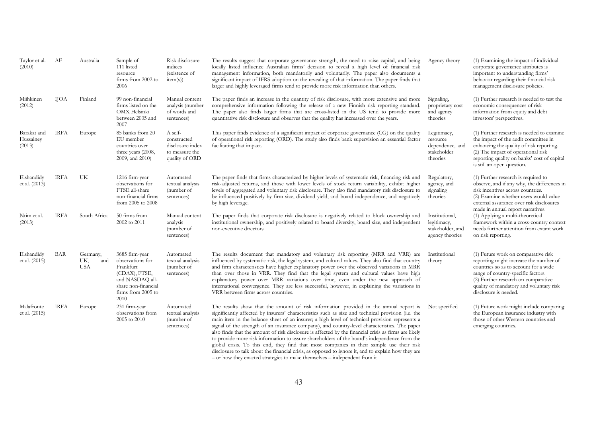| Taylor et al.<br>(2010)            | AF          | Australia                            | Sample of<br>111 listed<br>resource<br>firms from 2002 to<br>2006                                                                        | Risk disclosure<br>indices<br>(existence of<br>item(s))                        | The results suggest that corporate governance strength, the need to raise capital, and being<br>locally listed influence Australian firms' decision to reveal a high level of financial risk<br>management information, both mandatorily and voluntarily. The paper also documents a<br>significant impact of IFRS adoption on the revealing of that information. The paper finds that<br>larger and highly leveraged firms tend to provide more risk information than others.                                                                                                                                                                                                                      | Agency theory                                                         | (1) Examining the impact of individual<br>corporate governance attributes is<br>important to understanding firms'<br>behavior regarding their financial risk<br>management disclosure policies.                                                                         |
|------------------------------------|-------------|--------------------------------------|------------------------------------------------------------------------------------------------------------------------------------------|--------------------------------------------------------------------------------|-----------------------------------------------------------------------------------------------------------------------------------------------------------------------------------------------------------------------------------------------------------------------------------------------------------------------------------------------------------------------------------------------------------------------------------------------------------------------------------------------------------------------------------------------------------------------------------------------------------------------------------------------------------------------------------------------------|-----------------------------------------------------------------------|-------------------------------------------------------------------------------------------------------------------------------------------------------------------------------------------------------------------------------------------------------------------------|
| Miihkinen<br>(2012)                | <b>IJOA</b> | Finland                              | 99 non-financial<br>firms listed on the<br>OMX Helsinki<br>between 2005 and<br>2007                                                      | Manual content<br>analysis (number<br>of words and<br>sentences)               | The paper finds an increase in the quantity of risk disclosure, with more extensive and more<br>comprehensive information following the release of a new Finnish risk reporting standard.<br>The paper also finds larger firms that are cross-listed in the US tend to provide more<br>quantitative risk disclosure and observes that the quality has increased over the years.                                                                                                                                                                                                                                                                                                                     | Signaling,<br>proprietary cost<br>and agency<br>theories              | (1) Further research is needed to test the<br>economic consequences of risk<br>information from equity and debt<br>investors' perspectives.                                                                                                                             |
| Barakat and<br>Hussainey<br>(2013) | <b>IRFA</b> | Europe                               | 85 banks from 20<br>EU member<br>countries over<br>three years (2008,<br>2009, and 2010)                                                 | A self-<br>constructed<br>disclosure index<br>to measure the<br>quality of ORD | This paper finds evidence of a significant impact of corporate governance (CG) on the quality<br>of operational risk reporting (ORD). The study also finds bank supervision an essential factor<br>facilitating that impact.                                                                                                                                                                                                                                                                                                                                                                                                                                                                        | Legitimacy,<br>resource<br>dependence, and<br>stakeholder<br>theories | (1) Further research is needed to examine<br>the impact of the audit committee in<br>enhancing the quality of risk reporting.<br>(2) The impact of operational risk<br>reporting quality on banks' cost of capital<br>is still an open question.                        |
| Elshandidy<br>et al. (2013)        | <b>IRFA</b> | UK                                   | 1216 firm-year<br>observations for<br>FTSE all-share<br>non-financial firms<br>from 2005 to 2008                                         | Automated<br>textual analysis<br>(number of<br>sentences)                      | The paper finds that firms characterized by higher levels of systematic risk, financing risk and<br>risk-adjusted returns, and those with lower levels of stock return variability, exhibit higher<br>levels of aggregated and voluntary risk disclosure. They also find mandatory risk disclosure to<br>be influenced positively by firm size, dividend yield, and board independence, and negatively<br>by high leverage.                                                                                                                                                                                                                                                                         | Regulatory,<br>agency, and<br>signaling<br>theories                   | (1) Further research is required to<br>observe, and if any why, the differences in<br>risk incentives across countries.<br>(2) Examine whether users would value<br>external assurance over risk disclosures<br>made in annual report narratives.                       |
| Ntim et al.<br>(2013)              | <b>IRFA</b> | South Africa                         | 50 firms from<br>2002 to 2011                                                                                                            | Manual content<br>analysis<br>(number of<br>sentences)                         | The paper finds that corporate risk disclosure is negatively related to block ownership and<br>institutional ownership, and positively related to board diversity, board size, and independent<br>non-executive directors.                                                                                                                                                                                                                                                                                                                                                                                                                                                                          | Institutional,<br>legitimacy,<br>stakeholder, and<br>agency theories  | (1) Applying a multi-theoretical<br>framework within a cross-country context<br>needs further attention from extant work<br>on risk reporting.                                                                                                                          |
| Elshandidy<br>et al. (2015)        | BAR         | Germany,<br>UK,<br>and<br><b>USA</b> | 3685 firm-year<br>observations for<br>Frankfurt<br>(CDAX), FTSE,<br>and NASDAQ all-<br>share non-financial<br>firms from 2005 to<br>2010 | Automated<br>textual analysis<br>(number of<br>sentences)                      | The results document that mandatory and voluntary risk reporting (MRR and VRR) are<br>influenced by systematic risk, the legal system, and cultural values. They also find that country<br>and firm characteristics have higher explanatory power over the observed variations in MRR<br>than over those in VRR. They find that the legal system and cultural values have high<br>explanatory power over MRR variations over time, even under the new approach of<br>international convergence. They are less successful, however, in explaining the variations in<br>VRR between firms across countries.                                                                                           | Institutional<br>theory                                               | (1) Future work on comparative risk<br>reporting might increase the number of<br>countries so as to account for a wide<br>range of country-specific factors.<br>(2) Further research on comparative<br>quality of mandatory and voluntary risk<br>disclosure is needed. |
| Malafronte<br>et al. (2015)        | <b>IRFA</b> | Europe                               | 231 firm-year<br>observations from<br>2005 to 2010                                                                                       | Automated<br>textual analysis<br>(number of<br>sentences)                      | The results show that the amount of risk information provided in the annual report is<br>significantly affected by insurers' characteristics such as size and technical provision (i.e. the<br>main item in the balance sheet of an insurer; a high level of technical provision represents a<br>signal of the strength of an insurance company), and country-level characteristics. The paper<br>also finds that the amount of risk disclosure is affected by the financial crisis as firms are likely<br>to provide more risk information to assure shareholders of the board's independence from the<br>global crisis. To this end, they find that most companies in their sample use their risk | Not specified                                                         | (1) Future work might include comparing<br>the European insurance industry with<br>those of other Western countries and<br>emerging countries.                                                                                                                          |

disclosure to talk about the financial crisis, as opposed to ignore it, and to explain how they are – or how they enacted strategies to make themselves – independent from it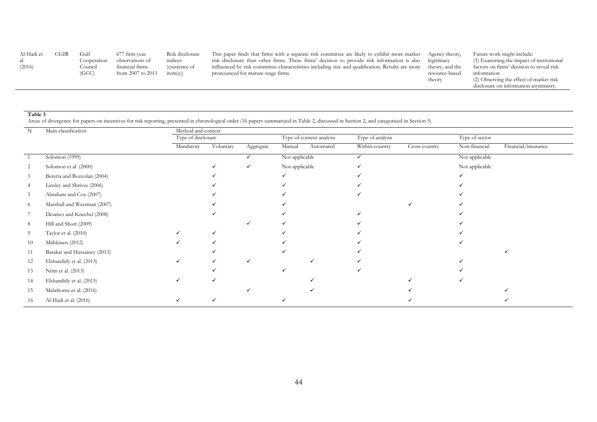| Al-Hadi et | CGIR | Gulf        | 677 firm-year     | Risk disclosure | This paper finds that firms with a separate risk committee are likely to exhibit more market Agency theory,     |                | Future work might include:                |
|------------|------|-------------|-------------------|-----------------|-----------------------------------------------------------------------------------------------------------------|----------------|-------------------------------------------|
| al.        |      | Cooperation | observations of   | indices         | risk disclosure than other firms. These firms' decision to provide risk information is also                     | legitimacy     | (1) Examining the impact of institutional |
| (2016)     |      | Council     | financial firms   | (existence of   | influenced by risk committee characteristics including size and qualification. Results are more theory, and the |                | factors on firms' decision to reveal risk |
|            |      | (GCC)       | from 2007 to 2011 | item(s)         | pronounced for mature-stage firms.                                                                              | resource-based | information.                              |
|            |      |             |                   |                 |                                                                                                                 | theory         | (2) Observing the effect of market risk   |
|            |      |             |                   |                 |                                                                                                                 |                | disclosure on information asymmetry.      |

## **Table 3**

Areas of divergence for papers on incentives for risk reporting, presented in chronological order (16 papers summarized in Table 2, discussed in Section 2, and categorized in Section 5)

| N              | Main classification          | Method and context |           |           |                          |                  |               |                |                     |
|----------------|------------------------------|--------------------|-----------|-----------|--------------------------|------------------|---------------|----------------|---------------------|
|                |                              | Type of disclosure |           |           | Type of content analysis | Type of analysis |               | Type of sector |                     |
|                |                              | Mandatory          | Voluntary | Aggregate | Manual<br>Automated      | Within-country   | Cross-country | Non-financial  | Financial/insurance |
|                | Solomon (1999)               |                    |           |           | Not applicable           |                  |               | Not applicable |                     |
| 2              | Solomon et al. (2000)        |                    |           |           | Not applicable           |                  |               | Not applicable |                     |
| $\mathfrak{Z}$ | Beretta and Bozzolan (2004)  |                    |           |           |                          |                  |               |                |                     |
| 4              | Linsley and Shrives (2006)   |                    |           |           |                          |                  |               |                |                     |
| 5              | Abraham and Cox (2007)       |                    |           |           |                          |                  |               |                |                     |
| 6              | Marshall and Weetman (2007)  |                    |           |           |                          |                  |               |                |                     |
|                | Deumes and Knechel (2008)    |                    |           |           |                          |                  |               |                |                     |
| 8              | Hill and Short (2009)        |                    |           |           |                          |                  |               |                |                     |
| 9              | Taylor et al. (2010)         |                    |           |           |                          |                  |               |                |                     |
| 10             | Miihkinen (2012)             |                    |           |           |                          |                  |               |                |                     |
| 11             | Barakat and Hussainey (2013) |                    |           |           |                          |                  |               |                |                     |
| 12             | Elshandidy et al. (2013)     |                    |           |           |                          |                  |               |                |                     |
| 13             | Ntim et al. (2013)           |                    |           |           |                          |                  |               |                |                     |
| 14             | Elshandidy et al. (2015)     |                    |           |           |                          |                  |               |                |                     |
| 15             | Malafronte et al. (2016)     |                    |           |           |                          |                  |               |                |                     |
| 16             | Al-Hadi et al. (2016)        |                    |           |           |                          |                  |               |                |                     |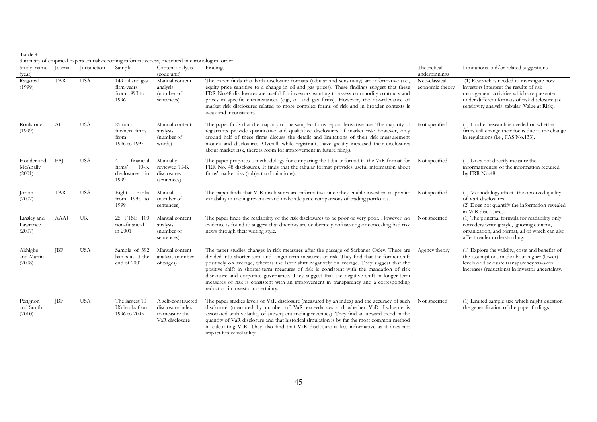| Table 4                           |            |                     |                                                              |                                                                                                 |                                                                                                                                                                                                                                                                                                                                                                                                                                                                                                                                                                                                                  |                                  |                                                                                                                                                                                                                                         |
|-----------------------------------|------------|---------------------|--------------------------------------------------------------|-------------------------------------------------------------------------------------------------|------------------------------------------------------------------------------------------------------------------------------------------------------------------------------------------------------------------------------------------------------------------------------------------------------------------------------------------------------------------------------------------------------------------------------------------------------------------------------------------------------------------------------------------------------------------------------------------------------------------|----------------------------------|-----------------------------------------------------------------------------------------------------------------------------------------------------------------------------------------------------------------------------------------|
|                                   |            |                     |                                                              | Summary of empirical papers on risk-reporting informativeness, presented in chronological order |                                                                                                                                                                                                                                                                                                                                                                                                                                                                                                                                                                                                                  |                                  |                                                                                                                                                                                                                                         |
| Study name<br>(year)              | Journal    | <b>Iurisdiction</b> | Sample                                                       | Content analysis<br>(code unit)                                                                 | Findings                                                                                                                                                                                                                                                                                                                                                                                                                                                                                                                                                                                                         | Theoretical<br>underpinnings     | Limitations and/or related suggestions                                                                                                                                                                                                  |
| Rajgopal<br>(1999)                | <b>TAR</b> | <b>USA</b>          | 149 oil and gas<br>firm-years<br>from 1993 to<br>1996        | Manual content<br>analysis<br>(number of<br>sentences)                                          | The paper finds that both disclosure formats (tabular and sensitivity) are informative (i.e.,<br>equity price sensitive to a change in oil and gas prices). These findings suggest that these<br>FRR No.48 disclosures are useful for investors wanting to assess commodity contracts and<br>prices in specific circumstances (e.g., oil and gas firms). However, the risk-relevance of<br>market risk disclosures related to more complex forms of risk and in broader contexts is<br>weak and inconsistent.                                                                                                    | Neo-classical<br>economic theory | (1) Research is needed to investigate how<br>investors interpret the results of risk<br>management activities which are presented<br>under different formats of risk disclosure (i.e.<br>sensitivity analysis, tabular, Value at Risk). |
| Roulstone<br>(1999)               | AH         | <b>USA</b>          | $25$ non-<br>financial firms<br>from<br>1996 to 1997         | Manual content<br>analysis<br>(number of<br>words)                                              | The paper finds that the majority of the sampled firms report derivative use. The majority of Not specified<br>registrants provide quantitative and qualitative disclosures of market risk; however, only<br>around half of these firms discuss the details and limitations of their risk measurement<br>models and disclosures. Overall, while registrants have greatly increased their disclosures<br>about market risk, there is room for improvement in future filings.                                                                                                                                      |                                  | (1) Further research is needed on whether<br>firms will change their focus due to the change<br>in regulations (i.e., FAS No.133).                                                                                                      |
| Hodder and<br>McAnally<br>(2001)  | FAJ        | <b>USA</b>          | financial<br>4<br>$10-K$<br>firms'<br>disclosures in<br>1999 | Manually<br>reviewed 10-K<br>disclosures<br>(sentences)                                         | The paper proposes a methodology for comparing the tabular format to the VaR format for Not specified<br>FRR No. 48 disclosures. It finds that the tabular format provides useful information about<br>firms' market risk (subject to limitations).                                                                                                                                                                                                                                                                                                                                                              |                                  | (1) Does not directly measure the<br>informativeness of the information required<br>by FRR No.48.                                                                                                                                       |
| Jorion<br>(2002)                  | <b>TAR</b> | <b>USA</b>          | Eight<br>banks<br>from $1995$ to<br>1999                     | Manual<br>(number of<br>sentences)                                                              | The paper finds that VaR disclosures are informative since they enable investors to predict<br>variability in trading revenues and make adequate comparisons of trading portfolios.                                                                                                                                                                                                                                                                                                                                                                                                                              | Not specified                    | (1) Methodology affects the observed quality<br>of VaR disclosures.<br>(2) Does not quantify the information revealed<br>in VaR disclosures.                                                                                            |
| Linsley and<br>Lawrence<br>(2007) | AAAJ       | UK                  | 25 FTSE 100<br>non-financial<br>in 2001                      | Manual content<br>analysis<br>(number of<br>sentences)                                          | The paper finds the readability of the risk disclosures to be poor or very poor. However, no<br>evidence is found to suggest that directors are deliberately obfuscating or concealing bad risk<br>news through their writing style.                                                                                                                                                                                                                                                                                                                                                                             | Not specified                    | (1) The principal formula for readability only<br>considers writing style, ignoring content,<br>organization, and format, all of which can also<br>affect reader understanding.                                                         |
| Akhigbe<br>and Martin<br>(2008)   | IBF        | <b>USA</b>          | Sample of 392<br>banks as at the<br>end of 2001              | Manual content<br>analysis (number<br>of pages)                                                 | The paper studies changes in risk measures after the passage of Sarbanes Oxley. These are<br>divided into shorter-term and longer-term measures of risk. They find that the former shift<br>positively on average, whereas the latter shift negatively on average. They suggest that the<br>positive shift in shorter-term measures of risk is consistent with the mandation of risk<br>disclosure and corporate governance. They suggest that the negative shift in longer-term<br>measures of risk is consistent with an improvement in transparency and a corresponding<br>reduction in investor uncertainty. | Agency theory                    | (1) Explore the validity, costs and benefits of<br>the assumptions made about higher (lower)<br>levels of disclosure transparency vis-à-vis<br>increases (reductions) in investor uncertainty.                                          |
| Pérignon<br>and Smith<br>(2010)   | <b>IBF</b> | <b>USA</b>          | The largest 10<br>US banks from<br>1996 to 2005.             | A self-constructed<br>disclosure index<br>to measure the<br>VaR disclosure                      | The paper studies levels of VaR disclosure (measured by an index) and the accuracy of such<br>disclosure (measured by number of VaR exceedances and whether VaR disclosure is<br>associated with volatility of subsequent trading revenues). They find an upward trend in the<br>quantity of VaR disclosure and that historical simulation is by far the most common method<br>in calculating VaR. They also find that VaR disclosure is less informative as it does not<br>impact future volatility.                                                                                                            | Not specified                    | (1) Limited sample size which might question<br>the generalization of the paper findings                                                                                                                                                |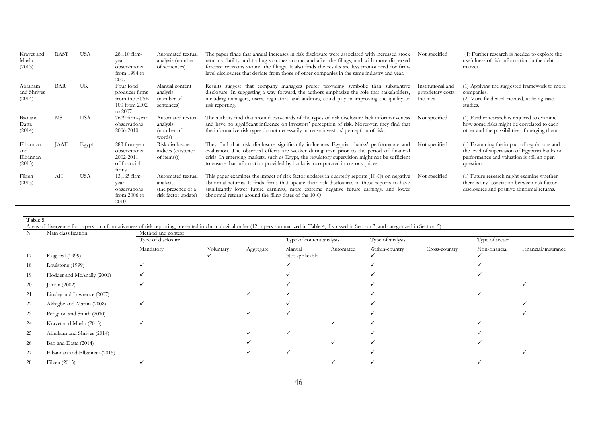| Kravet and<br>Muslu<br>(2013)         | <b>RAST</b> | <b>USA</b> | 28,110 firm-<br>year<br>observations<br>from 1994 to<br>2007             | Automated textual<br>analysis (number<br>of sentences)                     | The paper finds that annual increases in risk disclosure were associated with increased stock<br>return volatility and trading volumes around and after the filings, and with more dispersed<br>forecast revisions around the filings. It also finds the results are less pronounced for firm-<br>level disclosures that deviate from those of other companies in the same industry and year. | Not specified                                      | (1) Further research is needed to explore the<br>usefulness of risk information in the debt<br>market.                                                  |
|---------------------------------------|-------------|------------|--------------------------------------------------------------------------|----------------------------------------------------------------------------|-----------------------------------------------------------------------------------------------------------------------------------------------------------------------------------------------------------------------------------------------------------------------------------------------------------------------------------------------------------------------------------------------|----------------------------------------------------|---------------------------------------------------------------------------------------------------------------------------------------------------------|
| Abraham<br>and Shrives<br>(2014)      | <b>BAR</b>  | UK         | Four food<br>producer firms<br>from the FTSE<br>100 from 2002<br>to 2007 | Manual content<br>analysis<br>(number of<br>sentences)                     | Results suggest that company managers prefer providing symbolic than substantive<br>disclosure. In suggesting a way forward, the authors emphasize the role that stakeholders,<br>including managers, users, regulators, and auditors, could play in improving the quality of<br>risk reporting.                                                                                              | Institutional and<br>proprietary costs<br>theories | (1) Applying the suggested framework to more<br>companies.<br>(2) More field work needed, utilizing case<br>studies.                                    |
| Bao and<br>Datta<br>(2014)            | MS          | <b>USA</b> | 7679 firm-year<br>observations<br>2006-2010                              | Automated textual<br>analysis<br>(number of<br>words)                      | The authors find that around two-thirds of the types of risk disclosure lack informativeness<br>and have no significant influence on investors' perception of risk. Moreover, they find that<br>the informative risk types do not necessarily increase investors' perception of risk.                                                                                                         | Not specified                                      | (1) Further research is required to examine<br>how some risks might be correlated to each<br>other and the possibilities of merging them.               |
| Elbannan<br>and<br>Elbannan<br>(2015) | JAAF        | Egypt      | 283 firm-year<br>observations<br>2002-2011<br>of financial<br>firms      | Risk disclosure<br>indices (existence<br>of item $(s)$ )                   | They find that risk disclosure significantly influences Egyptian banks' performance and<br>evaluation. The observed effects are weaker during than prior to the period of financial<br>crisis. In emerging markets, such as Egypt, the regulatory supervision might not be sufficient<br>to ensure that information provided by banks is incorporated into stock prices.                      | Not specified                                      | (1) Examining the impact of regulations and<br>the level of supervision of Egyptian banks on<br>performance and valuation is still an open<br>question. |
| Filzen<br>(2015)                      | AH          | <b>USA</b> | 13,165 firm-<br>year<br>observations<br>from $2006$ to<br>2010           | Automated textual<br>analysis<br>(the presence of a<br>risk factor update) | This paper examines the impact of risk factor updates in quarterly reports $(10-Q)$ on negative<br>abnormal returns. It finds firms that update their risk disclosures in these reports to have<br>significantly lower future earnings, more extreme negative future earnings, and lower<br>abnormal returns around the filing dates of the 10-Q.                                             | Not specified                                      | (1) Future research might examine whether<br>there is any association between risk factor<br>disclosures and positive abnormal returns.                 |

**Table 5** 

Areas of divergence for papers on informativeness of risk reporting, presented in chronological order (12 papers summarized in Table 4, discussed in Section 3, and categorized in Section 5)

| N  | Main classification          | Method and context |           |           |                          |           |                  |               |                |                     |
|----|------------------------------|--------------------|-----------|-----------|--------------------------|-----------|------------------|---------------|----------------|---------------------|
|    |                              | Type of disclosure |           |           | Type of content analysis |           | Type of analysis |               | Type of sector |                     |
|    |                              | Mandatory          | Voluntary | Aggregate | Manual                   | Automated | Within-country   | Cross-country | Non-financial  | Financial/insurance |
| 17 | Rajgopal (1999)              |                    |           |           | Not applicable           |           |                  |               |                |                     |
| 18 | Roulstone (1999)             |                    |           |           |                          |           |                  |               |                |                     |
| 19 | Hodder and McAnally (2001)   |                    |           |           |                          |           |                  |               |                |                     |
| 20 | Jorion $(2002)$              |                    |           |           |                          |           |                  |               |                |                     |
| 21 | Linsley and Lawrence (2007)  |                    |           |           |                          |           |                  |               |                |                     |
| 22 | Akhigbe and Martin (2008)    |                    |           |           |                          |           |                  |               |                |                     |
| 23 | Pérignon and Smith (2010)    |                    |           |           |                          |           |                  |               |                |                     |
| 24 | Kravet and Muslu (2013)      |                    |           |           |                          |           |                  |               |                |                     |
| 25 | Abraham and Shrives (2014)   |                    |           |           |                          |           |                  |               |                |                     |
| 26 | Bao and Datta (2014)         |                    |           |           |                          |           |                  |               |                |                     |
| 27 | Elbannan and Elbannan (2015) |                    |           |           |                          |           |                  |               |                |                     |
| 28 | Filzen (2015)                |                    |           |           |                          |           |                  |               |                |                     |
|    |                              |                    |           |           |                          |           |                  |               |                |                     |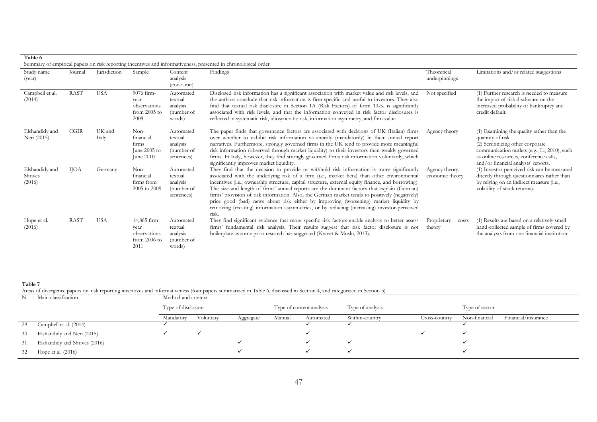| Table 6                             |             |                 |                                                                |                                                              | Summary of empirical papers on risk reporting incentives and informativeness, presented in chronological order                                                                                                                                                                                                                                                                                                                                                                                                                                                                                                                                                                                 |                                   |                                                                                                                                                                                                                                     |
|-------------------------------------|-------------|-----------------|----------------------------------------------------------------|--------------------------------------------------------------|------------------------------------------------------------------------------------------------------------------------------------------------------------------------------------------------------------------------------------------------------------------------------------------------------------------------------------------------------------------------------------------------------------------------------------------------------------------------------------------------------------------------------------------------------------------------------------------------------------------------------------------------------------------------------------------------|-----------------------------------|-------------------------------------------------------------------------------------------------------------------------------------------------------------------------------------------------------------------------------------|
| Study name<br>(year)                | Journal     | Jurisdiction    | Sample                                                         | Content<br>analysis<br>(code unit)                           | Findings                                                                                                                                                                                                                                                                                                                                                                                                                                                                                                                                                                                                                                                                                       | Theoretical<br>underpinnings      | Limitations and/or related suggestions                                                                                                                                                                                              |
| Campbell et al.<br>(2014)           | <b>RAST</b> | <b>USA</b>      | 9076 firm-<br>vear<br>observations<br>from $2005$ to<br>2008   | Automated<br>textual<br>analysis<br>(number of<br>words)     | Disclosed risk information has a significant association with market value and risk levels, and<br>the authors conclude that risk information is firm-specific and useful to investors. They also<br>find that textual risk disclosure in Section 1A (Risk Factors) of form 10-K is significantly<br>associated with risk levels, and that the information conveyed in risk factor disclosures is<br>reflected in systematic risk, idiosyncratic risk, information asymmetry, and firm value.                                                                                                                                                                                                  | Not specified                     | (1) Further research is needed to measure<br>the impact of risk disclosure on the<br>increased probability of bankruptcy and<br>credit default.                                                                                     |
| Elshandidy and<br>Neri (2015)       | <b>CGIR</b> | UK and<br>Italy | Non-<br>financial<br>firms<br>June 2005 to<br>June 2010        | Automated<br>textual<br>analysis<br>(number of<br>sentences) | The paper finds that governance factors are associated with decisions of UK (Italian) firms<br>over whether to exhibit risk information voluntarily (mandatorily) in their annual report<br>narratives. Furthermore, strongly governed firms in the UK tend to provide more meaningful<br>risk information (observed through market liquidity) to their investors than weakly governed<br>firms. In Italy, however, they find strongly governed firms risk information voluntarily, which<br>significantly improves market liquidity.                                                                                                                                                          | Agency theory                     | (1) Examining the quality rather than the<br>quantity of risk.<br>(2) Scrutinizing other corporate<br>communication outlets (e.g., Li, 2010), such<br>as online resources, conference calls,<br>and/or financial analysts' reports. |
| Elshandidy and<br>Shrives<br>(2016) | <b>IJOA</b> | Germany         | Non-<br>financial<br>firms from<br>2005 to 2009                | Automated<br>textual<br>analysis<br>(number of<br>sentences) | They find that the decision to provide or withhold risk information is more significantly<br>associated with the underlying risk of a firm (i.e., market beta) than other environmental<br>incentives (i.e., ownership structure, capital structure, external equity finance, and borrowing).<br>The size and length of firms' annual reports are the dominant factors that explain (German)<br>firms' provision of risk information. Also, the German market tends to positively (negatively)<br>price good (bad) news about risk either by improving (worsening) market liquidity by<br>removing (creating) information asymmetries, or by reducing (increasing) investor-perceived<br>risk. | Agency theory,<br>economic theory | (1) Investor-perceived risk can be measured<br>directly through questionnaires rather than<br>by relying on an indirect measure (i.e.,<br>volatility of stock returns).                                                             |
| Hope et al.<br>(2016)               | <b>RAST</b> | <b>USA</b>      | 14,865 firm-<br>year<br>observations<br>from $2006$ to<br>2011 | Automated<br>textual<br>analysis<br>(number of<br>words)     | They find significant evidence that more specific risk factors enable analysts to better assess<br>firms' fundamental risk analysis. Their results suggest that risk factor disclosure is not<br>boilerplate as some prior research has suggested (Kravet & Muslu, 2013).                                                                                                                                                                                                                                                                                                                                                                                                                      | Proprietary<br>costs<br>theory    | (1) Results are based on a relatively small<br>hand-collected sample of firms covered by<br>the analysts from one financial institution.                                                                                            |

**Table 7** 

Areas of divergence papers on risk reporting incentives and informativeness (four papers summarized in Table 6, discussed in Section 4, and categorized in Section 5)

|    | Main classification           | Method and context |           |           |                          |           |                  |                |               |                     |
|----|-------------------------------|--------------------|-----------|-----------|--------------------------|-----------|------------------|----------------|---------------|---------------------|
|    |                               | Type of disclosure |           |           | Type of content analysis |           | Type of analysis | Type of sector |               |                     |
|    |                               | Mandatory          | Voluntary | Aggregate | Manual                   | Automated | Within-country   | Cross-country  | Non-financial | Financial/insurance |
| 29 | Campbell et al. (2014)        |                    |           |           |                          |           |                  |                |               |                     |
| 30 | Elshandidy and Neri (2015)    |                    |           |           |                          |           |                  |                |               |                     |
| 31 | Elshandidy and Shrives (2016) |                    |           |           |                          |           |                  |                |               |                     |
| 32 | Hope et al. (2016)            |                    |           |           |                          |           |                  |                |               |                     |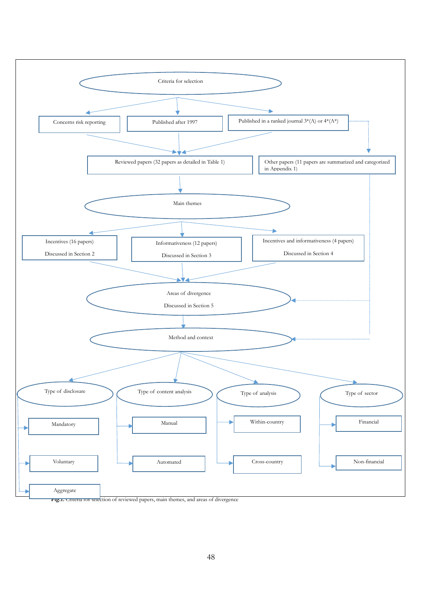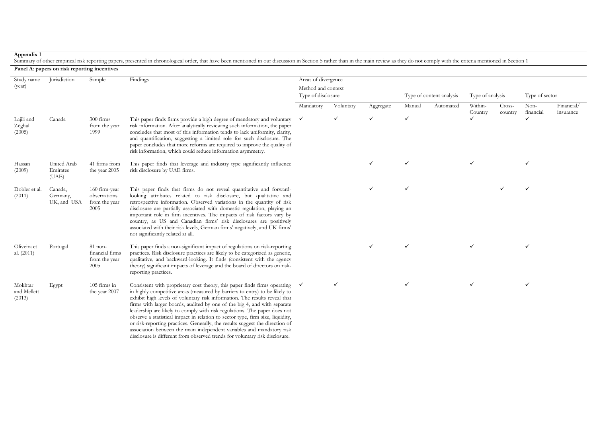## **Appendix 1**

Summary of other empirical risk reporting papers, presented in chronological order, that have been mentioned in our discussion in Section 5 rather than in the main review as they do not comply with the criteria mentioned i

**Panel A**: **papers on risk reporting incentives** 

| Study name                       | Jurisdiction                       | Sample                                                 | Findings                                                                                                                                                                                                                                                                                                                                                                                                                                                                                                                                                                                                                                                                                                                               | Areas of divergence |              |           |              |                          |                    |                   |                   |                         |
|----------------------------------|------------------------------------|--------------------------------------------------------|----------------------------------------------------------------------------------------------------------------------------------------------------------------------------------------------------------------------------------------------------------------------------------------------------------------------------------------------------------------------------------------------------------------------------------------------------------------------------------------------------------------------------------------------------------------------------------------------------------------------------------------------------------------------------------------------------------------------------------------|---------------------|--------------|-----------|--------------|--------------------------|--------------------|-------------------|-------------------|-------------------------|
| (year)                           |                                    |                                                        |                                                                                                                                                                                                                                                                                                                                                                                                                                                                                                                                                                                                                                                                                                                                        | Method and context  |              |           |              |                          |                    |                   |                   |                         |
|                                  |                                    |                                                        |                                                                                                                                                                                                                                                                                                                                                                                                                                                                                                                                                                                                                                                                                                                                        | Type of disclosure  |              |           |              | Type of content analysis | Type of analysis   |                   | Type of sector    |                         |
|                                  |                                    |                                                        |                                                                                                                                                                                                                                                                                                                                                                                                                                                                                                                                                                                                                                                                                                                                        | Mandatory           | Voluntary    | Aggregate | Manual       | Automated                | Within-<br>Country | Cross-<br>country | Non-<br>financial | Financial/<br>insurance |
| Lajili and<br>Zéghal<br>(2005)   | Canada                             | 300 firms<br>from the year<br>1999                     | This paper finds firms provide a high degree of mandatory and voluntary<br>risk information. After analytically reviewing such information, the paper<br>concludes that most of this information tends to lack uniformity, clarity,<br>and quantification, suggesting a limited role for such disclosure. The<br>paper concludes that more reforms are required to improve the quality of<br>risk information, which could reduce information asymmetry.                                                                                                                                                                                                                                                                               | $\checkmark$        | $\checkmark$ |           | $\checkmark$ |                          |                    |                   |                   |                         |
| Hassan<br>(2009)                 | United Arab<br>Emirates<br>(UAE)   | 41 firms from<br>the year 2005                         | This paper finds that leverage and industry type significantly influence<br>risk disclosure by UAE firms.                                                                                                                                                                                                                                                                                                                                                                                                                                                                                                                                                                                                                              |                     |              |           | $\checkmark$ |                          |                    |                   | $\checkmark$      |                         |
| Dobler et al.<br>(2011)          | Canada,<br>Germany,<br>UK, and USA | 160 firm-year<br>observations<br>from the year<br>2005 | This paper finds that firms do not reveal quantitative and forward-<br>looking attributes related to risk disclosure, but qualitative and<br>retrospective information. Observed variations in the quantity of risk<br>disclosure are partially associated with domestic regulation, playing an<br>important role in firm incentives. The impacts of risk factors vary by<br>country, as US and Canadian firms' risk disclosures are positively<br>associated with their risk levels, German firms' negatively, and UK firms'<br>not significantly related at all.                                                                                                                                                                     |                     |              |           | $\checkmark$ |                          |                    |                   |                   |                         |
| Oliveira et<br>al. (2011)        | Portugal                           | $81$ non-<br>financial firms<br>from the year<br>2005  | This paper finds a non-significant impact of regulations on risk-reporting<br>practices. Risk disclosure practices are likely to be categorized as generic,<br>qualitative, and backward-looking. It finds (consistent with the agency<br>theory) significant impacts of leverage and the board of directors on risk-<br>reporting practices.                                                                                                                                                                                                                                                                                                                                                                                          |                     |              |           | $\checkmark$ |                          |                    |                   | $\checkmark$      |                         |
| Mokhtar<br>and Mellett<br>(2013) | Egypt                              | 105 firms in<br>the year 2007                          | Consistent with proprietary cost theory, this paper finds firms operating $\checkmark$<br>in highly competitive areas (measured by barriers to entry) to be likely to<br>exhibit high levels of voluntary risk information. The results reveal that<br>firms with larger boards, audited by one of the big 4, and with separate<br>leadership are likely to comply with risk regulations. The paper does not<br>observe a statistical impact in relation to sector type, firm size, liquidity,<br>or risk-reporting practices. Generally, the results suggest the direction of<br>association between the main independent variables and mandatory risk<br>disclosure is different from observed trends for voluntary risk disclosure. |                     | $\checkmark$ |           | $\checkmark$ |                          | ✓                  |                   | $\checkmark$      |                         |